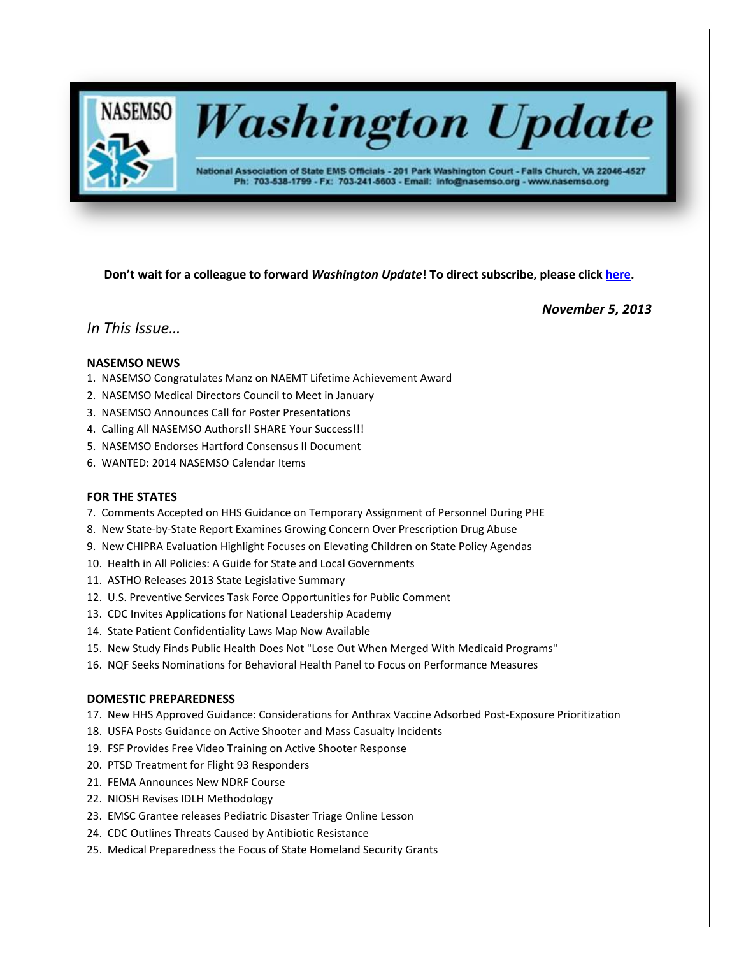

# **Washington Update**

National Association of State EMS Officials - 201 Park Washington Court - Falls Church, VA 22046-4527 Ph: 703-538-1799 - Fx: 703-241-5603 - Email: info@nasemso.org - www.nasemso.org

**Don't wait for a colleague to forward** *Washington Update***! To direct subscribe, please click [here.](http://lists.nasemso.org/read/all_forums/subscribe?name=wu%20)**

*November 5, 2013*

# *In This Issue…*

# **NASEMSO NEWS**

- 1. NASEMSO Congratulates Manz on NAEMT Lifetime Achievement Award
- 2. NASEMSO Medical Directors Council to Meet in January
- 3. NASEMSO Announces Call for Poster Presentations
- 4. Calling All NASEMSO Authors!! SHARE Your Success!!!
- 5. NASEMSO Endorses Hartford Consensus II Document
- 6. WANTED: 2014 NASEMSO Calendar Items

# **FOR THE STATES**

- 7. Comments Accepted on HHS Guidance on Temporary Assignment of Personnel During PHE
- 8. New State-by-State Report Examines Growing Concern Over Prescription Drug Abuse
- 9. New CHIPRA Evaluation Highlight Focuses on Elevating Children on State Policy Agendas
- 10. Health in All Policies: A Guide for State and Local Governments
- 11. ASTHO Releases 2013 State Legislative Summary
- 12. U.S. Preventive Services Task Force Opportunities for Public Comment
- 13. CDC Invites Applications for National Leadership Academy
- 14. State Patient Confidentiality Laws Map Now Available
- 15. New Study Finds Public Health Does Not "Lose Out When Merged With Medicaid Programs"
- 16. NQF Seeks Nominations for Behavioral Health Panel to Focus on Performance Measures

# **DOMESTIC PREPAREDNESS**

- 17. New HHS Approved Guidance: Considerations for Anthrax Vaccine Adsorbed Post-Exposure Prioritization
- 18. USFA Posts Guidance on Active Shooter and Mass Casualty Incidents
- 19. FSF Provides Free Video Training on Active Shooter Response
- 20. PTSD Treatment for Flight 93 Responders
- 21. FEMA Announces New NDRF Course
- 22. NIOSH Revises IDLH Methodology
- 23. EMSC Grantee releases Pediatric Disaster Triage Online Lesson
- 24. CDC Outlines Threats Caused by Antibiotic Resistance
- 25. Medical Preparedness the Focus of State Homeland Security Grants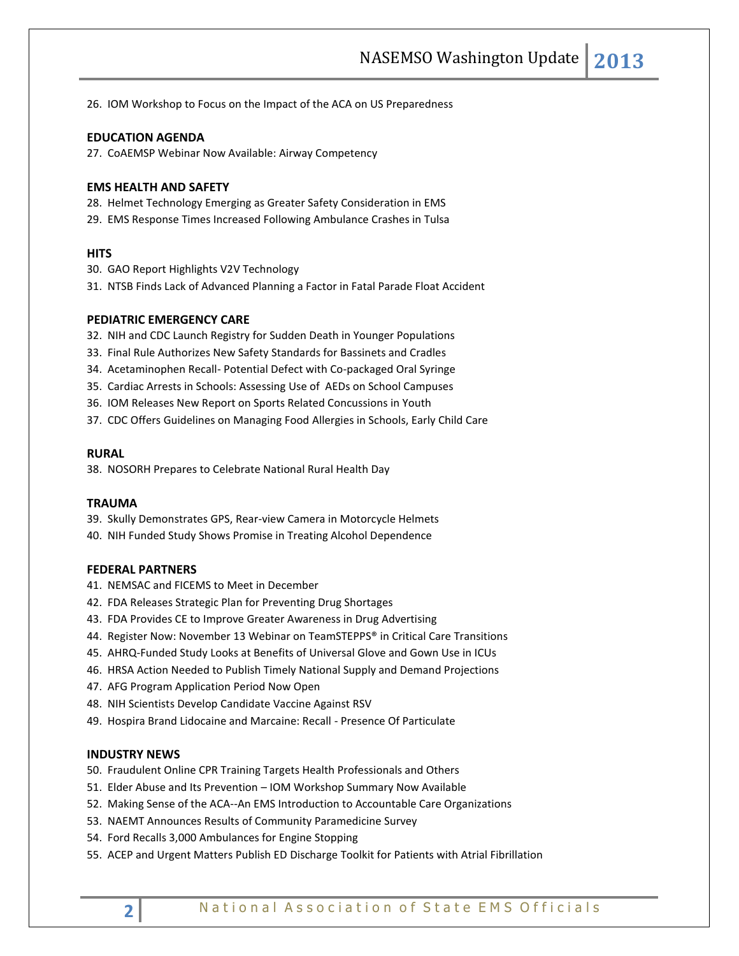26. IOM Workshop to Focus on the Impact of the ACA on US Preparedness

# **EDUCATION AGENDA**

27. CoAEMSP Webinar Now Available: Airway Competency

#### **EMS HEALTH AND SAFETY**

28. Helmet Technology Emerging as Greater Safety Consideration in EMS

29. EMS Response Times Increased Following Ambulance Crashes in Tulsa

## **HITS**

- 30. GAO Report Highlights V2V Technology
- 31. NTSB Finds Lack of Advanced Planning a Factor in Fatal Parade Float Accident

# **PEDIATRIC EMERGENCY CARE**

- 32. NIH and CDC Launch Registry for Sudden Death in Younger Populations
- 33. Final Rule Authorizes New Safety Standards for Bassinets and Cradles
- 34. Acetaminophen Recall- Potential Defect with Co-packaged Oral Syringe
- 35. Cardiac Arrests in Schools: Assessing Use of AEDs on School Campuses
- 36. IOM Releases New Report on Sports Related Concussions in Youth
- 37. CDC Offers Guidelines on Managing Food Allergies in Schools, Early Child Care

#### **RURAL**

38. NOSORH Prepares to Celebrate National Rural Health Day

#### **TRAUMA**

- 39. Skully Demonstrates GPS, Rear-view Camera in Motorcycle Helmets
- 40. NIH Funded Study Shows Promise in Treating Alcohol Dependence

## **FEDERAL PARTNERS**

- 41. NEMSAC and FICEMS to Meet in December
- 42. FDA Releases Strategic Plan for Preventing Drug Shortages
- 43. FDA Provides CE to Improve Greater Awareness in Drug Advertising
- 44. Register Now: November 13 Webinar on TeamSTEPPS® in Critical Care Transitions
- 45. AHRQ-Funded Study Looks at Benefits of Universal Glove and Gown Use in ICUs
- 46. HRSA Action Needed to Publish Timely National Supply and Demand Projections
- 47. AFG Program Application Period Now Open
- 48. NIH Scientists Develop Candidate Vaccine Against RSV
- 49. Hospira Brand Lidocaine and Marcaine: Recall Presence Of Particulate

#### **INDUSTRY NEWS**

- 50. Fraudulent Online CPR Training Targets Health Professionals and Others
- 51. Elder Abuse and Its Prevention IOM Workshop Summary Now Available
- 52. Making Sense of the ACA--An EMS Introduction to Accountable Care Organizations
- 53. NAEMT Announces Results of Community Paramedicine Survey
- 54. Ford Recalls 3,000 Ambulances for Engine Stopping
- 55. ACEP and Urgent Matters Publish ED Discharge Toolkit for Patients with Atrial Fibrillation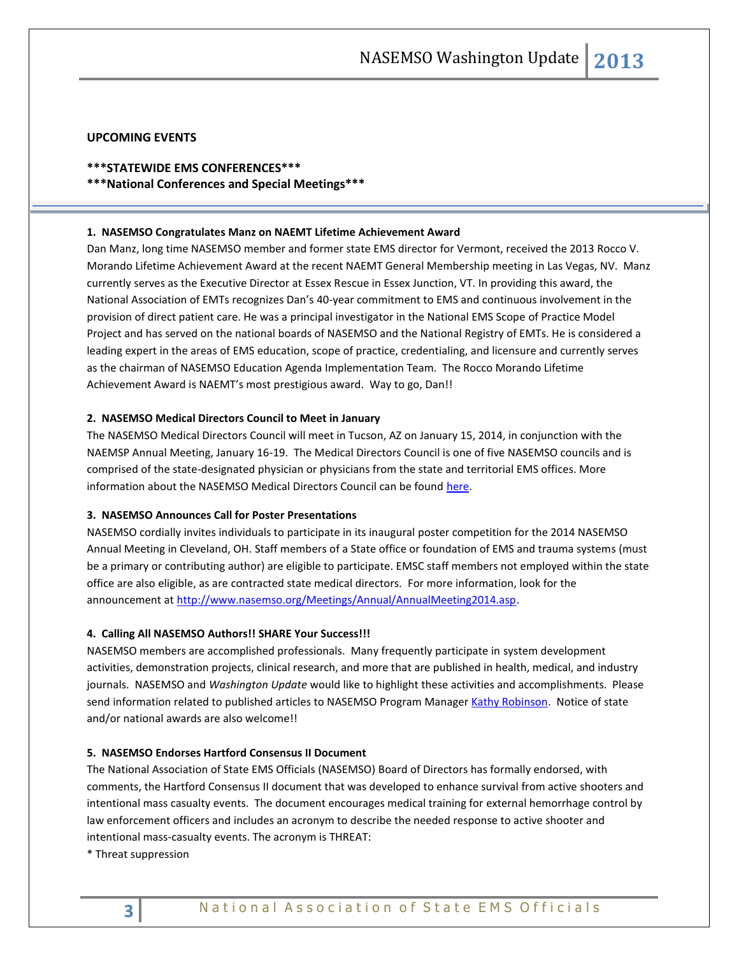## **UPCOMING EVENTS**

# **\*\*\*STATEWIDE EMS CONFERENCES\*\*\***

**\*\*\*National Conferences and Special Meetings\*\*\***

## **1. NASEMSO Congratulates Manz on NAEMT Lifetime Achievement Award**

Dan Manz, long time NASEMSO member and former state EMS director for Vermont, received the 2013 Rocco V. Morando Lifetime Achievement Award at the recent NAEMT General Membership meeting in Las Vegas, NV. Manz currently serves as the Executive Director at Essex Rescue in Essex Junction, VT. In providing this award, the National Association of EMTs recognizes Dan's 40-year commitment to EMS and continuous involvement in the provision of direct patient care. He was a principal investigator in the National EMS Scope of Practice Model Project and has served on the national boards of NASEMSO and the National Registry of EMTs. He is considered a leading expert in the areas of EMS education, scope of practice, credentialing, and licensure and currently serves as the chairman of NASEMSO Education Agenda Implementation Team. The Rocco Morando Lifetime Achievement Award is NAEMT's most prestigious award. Way to go, Dan!!

#### **2. NASEMSO Medical Directors Council to Meet in January**

The NASEMSO Medical Directors Council will meet in Tucson, AZ on January 15, 2014, in conjunction with the NAEMSP Annual Meeting, January 16-19. The Medical Directors Council is one of five NASEMSO councils and is comprised of the state-designated physician or physicians from the state and territorial EMS offices. More information about the NASEMSO Medical Directors Council can be found [here.](https://www.nasemso.org/Councils/MedicalDirectors/)

## **3. NASEMSO Announces Call for Poster Presentations**

NASEMSO cordially invites individuals to participate in its inaugural poster competition for the 2014 NASEMSO Annual Meeting in Cleveland, OH. Staff members of a State office or foundation of EMS and trauma systems (must be a primary or contributing author) are eligible to participate. EMSC staff members not employed within the state office are also eligible, as are contracted state medical directors. For more information, look for the announcement a[t http://www.nasemso.org/Meetings/Annual/AnnualMeeting2014.asp.](http://www.nasemso.org/Meetings/Annual/AnnualMeeting2014.asp)

## **4. Calling All NASEMSO Authors!! SHARE Your Success!!!**

NASEMSO members are accomplished professionals. Many frequently participate in system development activities, demonstration projects, clinical research, and more that are published in health, medical, and industry journals. NASEMSO and *Washington Update* would like to highlight these activities and accomplishments. Please send information related to published articles to NASEMSO Program Manage[r Kathy Robinson.](mailto:robinson@nasemso.org) Notice of state and/or national awards are also welcome!!

# **5. NASEMSO Endorses Hartford Consensus II Document**

The National Association of State EMS Officials (NASEMSO) Board of Directors has formally endorsed, with comments, the Hartford Consensus II document that was developed to enhance survival from active shooters and intentional mass casualty events. The document encourages medical training for external hemorrhage control by law enforcement officers and includes an acronym to describe the needed response to active shooter and intentional mass-casualty events. The acronym is THREAT:

\* Threat suppression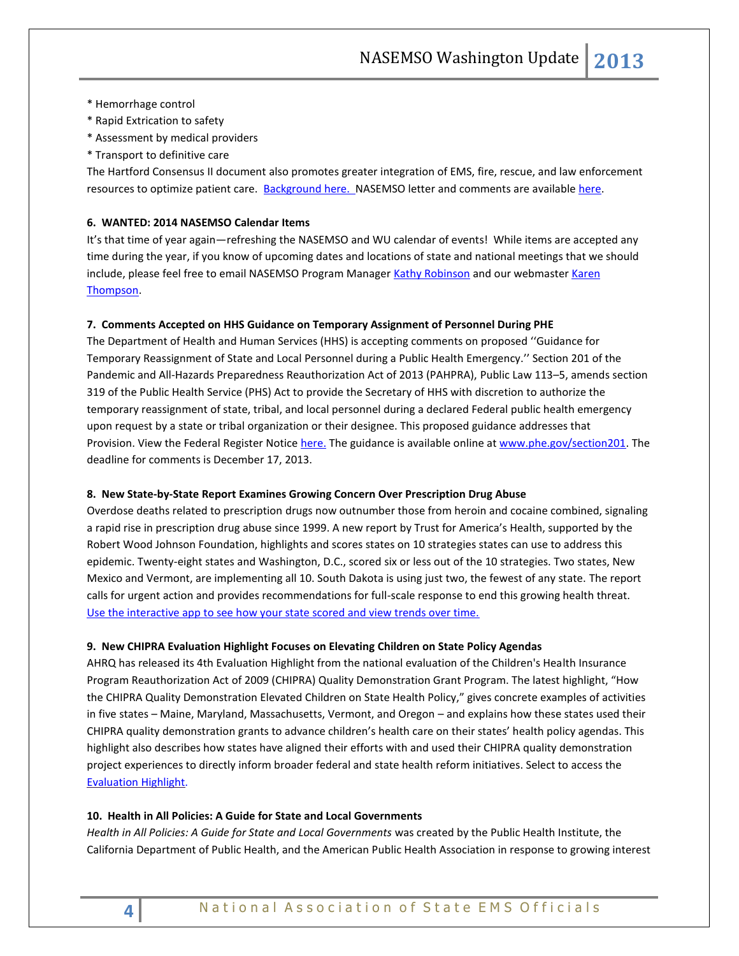- \* Hemorrhage control
- \* Rapid Extrication to safety
- \* Assessment by medical providers
- \* Transport to definitive care

The Hartford Consensus II document also promotes greater integration of EMS, fire, rescue, and law enforcement resources to optimize patient care. [Background here. N](http://bulletin.facs.org/2013/09/hartford-consensus-ii/)ASEMSO letter and comments are availabl[e here.](http://www.nasemso.org/Advocacy/Supported/index.asp)

#### **6. WANTED: 2014 NASEMSO Calendar Items**

It's that time of year again—refreshing the NASEMSO and WU calendar of events! While items are accepted any time during the year, if you know of upcoming dates and locations of state and national meetings that we should include, please feel free to email NASEMSO Program Manager [Kathy Robinson](mailto:robinson@nasemso.org?subject=calendar%20items) and our webmaster Karen [Thompson.](mailto:thompson@nasemso.org?subject=calendar%20items)

# **7. Comments Accepted on HHS Guidance on Temporary Assignment of Personnel During PHE**

The Department of Health and Human Services (HHS) is accepting comments on proposed ''Guidance for Temporary Reassignment of State and Local Personnel during a Public Health Emergency.'' Section 201 of the Pandemic and All-Hazards Preparedness Reauthorization Act of 2013 (PAHPRA), Public Law 113–5, amends section 319 of the Public Health Service (PHS) Act to provide the Secretary of HHS with discretion to authorize the temporary reassignment of state, tribal, and local personnel during a declared Federal public health emergency upon request by a state or tribal organization or their designee. This proposed guidance addresses that Provision. View the Federal Register Notice [here.](http://www.gpo.gov/fdsys/pkg/FR-2013-10-01/pdf/2013-23834.pdf) The guidance is available online at [www.phe.gov/section201.](http://www.phe.gov/section201) The deadline for comments is December 17, 2013.

## **8. New State-by-State Report Examines Growing Concern Over Prescription Drug Abuse**

Overdose deaths related to prescription drugs now outnumber those from heroin and cocaine combined, signaling a rapid rise in prescription drug abuse since 1999. A new report by Trust for America's Health, supported by the Robert Wood Johnson Foundation, highlights and scores states on 10 strategies states can use to address this epidemic. Twenty-eight states and Washington, D.C., scored six or less out of the 10 strategies. Two states, New Mexico and Vermont, are implementing all 10. South Dakota is using just two, the fewest of any state. The report calls for urgent action and provides recommendations for full-scale response to end this growing health threat. [Use the interactive app to see how your state scored and view trends over time.](http://www.rwjf.org/en/about-rwjf/newsroom/newsroom-content/2013/09/interactive--prescription-drug-abuse.html)

#### **9. New CHIPRA Evaluation Highlight Focuses on Elevating Children on State Policy Agendas**

AHRQ has released its 4th Evaluation Highlight from the national evaluation of the Children's Health Insurance Program Reauthorization Act of 2009 (CHIPRA) Quality Demonstration Grant Program. The latest highlight, "How the CHIPRA Quality Demonstration Elevated Children on State Health Policy," gives concrete examples of activities in five states – Maine, Maryland, Massachusetts, Vermont, and Oregon – and explains how these states used their CHIPRA quality demonstration grants to advance children's health care on their states' health policy agendas. This highlight also describes how states have aligned their efforts with and used their CHIPRA quality demonstration project experiences to directly inform broader federal and state health reform initiatives. Select to access the [Evaluation Highlight.](http://links.govdelivery.com/track?type=click&enid=ZWFzPTEmbWFpbGluZ2lkPTIwMTMxMDIzLjI0NDA3NjAxJm1lc3NhZ2VpZD1NREItUFJELUJVTC0yMDEzMTAyMy4yNDQwNzYwMSZkYXRhYmFzZWlkPTEwMDEmc2VyaWFsPTE3ODMyODEwJmVtYWlsaWQ9cm9iaW5zb25AbmFzZW1zby5vcmcmdXNlcmlkPXJvYmluc29uQG5hc2Vtc28ub3JnJmZsPSZleHRyYT1NdWx0aXZhcmlhdGVJZD0mJiY=&&&106&&&http://rxprodstage.ahrq.gov/policymakers/chipra/demoeval/resources/highlight04.pdf)

# **10. Health in All Policies: A Guide for State and Local Governments**

*Health in All Policies: A Guide for State and Local Governments* was created by the Public Health Institute, the California Department of Public Health, and the American Public Health Association in response to growing interest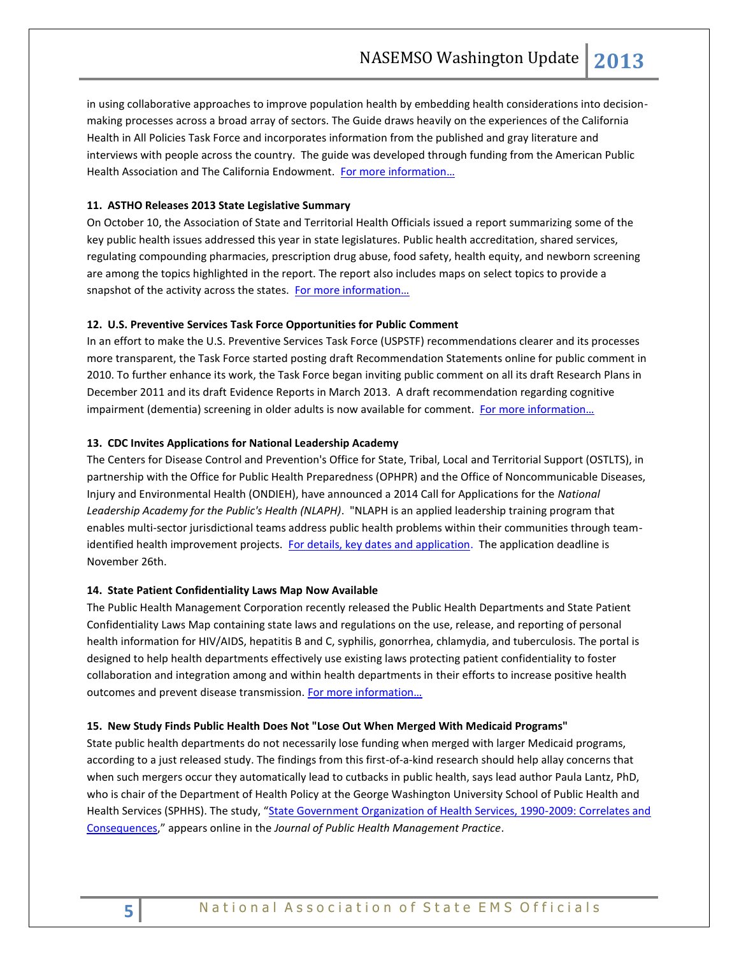in using collaborative approaches to improve population health by embedding health considerations into decisionmaking processes across a broad array of sectors. The Guide draws heavily on the experiences of the California Health in All Policies Task Force and incorporates information from the published and gray literature and interviews with people across the country. The guide was developed through funding from the American Public Health Association and The California Endowment. [For more information…](http://www.phi.org/resources/?resource=hiapguide)

# **11. ASTHO Releases 2013 State Legislative Summary**

On October 10, the Association of State and Territorial Health Officials issued a [report s](http://www.mmsend47.com/link.cfm?r=235034241&sid=27358119&m=3020198&u=NACCHO&j=15374475&s=http://r20.rs6.net/tn.jsp?f=001Jmfv9owj9-GorIYi8twQIP-0bsMrNiZb0GccI9GSLCqrYEI5XlgJ9TtlJ5kF-DH1tDiIyA87M9cBjA74bwRcs1lSfXphxz56kXv43Erl_FjYULiPE-SMiNFJkzzzgMh_mARAOc3co_1uGYXIggWaEUUybd0Y2UyjG-8HDUmTpTv-WScQHD2Vce7ZZEc1_ijiwxwHCHB89-eV4YZkkwNyE-qJno3s1uxpJRuGaMpWRgWoQtN8TKP132u6ZixrbjSa8ksd1wziak1x7Ts0gWEvGw==&c=Um04VDXjHyGeArpNYMOojPvWpFsa18Je9-Okwn4LSWUx7iUK_svXuA==&ch=n2KN0Hnj_9by_MVik5adJ3e8TajkZF-ZNdo4gPLsKj8eCeEeEyLmwQ==)ummarizing some of the key public health issues addressed this year in state legislatures. Public health accreditation, shared services, regulating compounding pharmacies, prescription drug abuse, food safety, health equity, and newborn screening are among the topics highlighted in the report. The report also includes maps on select topics to provide a snapshot of the activity across the states. For more information...

# **12. U.S. Preventive Services Task Force Opportunities for Public Comment**

In an effort to make the U.S. Preventive Services Task Force (USPSTF) recommendations clearer and its processes more transparent, the Task Force started posting draft Recommendation Statements online for public comment in 2010. To further enhance its work, the Task Force began inviting public comment on all its draft Research Plans in December 2011 and its draft Evidence Reports in March 2013. A draft recommendation regarding cognitive impairment (dementia) screening in older adults is now available for comment. For more information...

# **13. CDC Invites Applications for National Leadership Academy**

The Centers for Disease Control and Prevention's Office for State, Tribal, Local and Territorial Support (OSTLTS), in partnership with the Office for Public Health Preparedness (OPHPR) and the Office of Noncommunicable Diseases, Injury and Environmental Health (ONDIEH), have announced a 2014 Call for Applications for the *National Leadership Academy for the Public's Health (NLAPH)*. "NLAPH is an applied leadership training program that enables multi-sector jurisdictional teams address public health problems within their communities through team-identified health improvement projects. [For details, key dates and application.](http://healthleadership.org/application_intro) The application deadline is November 26th.

# **14. State Patient Confidentiality Laws Map Now Available**

The Public Health Management Corporation recently released the Public Health Departments and State Patient Confidentiality Laws Map containing state laws and regulations on the use, release, and reporting of personal health information for HIV/AIDS, hepatitis B and C, syphilis, gonorrhea, chlamydia, and tuberculosis. The portal is designed to help health departments effectively use existing laws protecting patient confidentiality to foster collaboration and integration among and within health departments in their efforts to increase positive health outcomes and prevent disease transmission. [For more information…](http://www.lawatlas.org/preview?dataset=public-health-departments-and-state-patient-confidentiality-laws)

# **15. New Study Finds Public Health Does Not "Lose Out When Merged With Medicaid Programs"**

State public health departments do not necessarily lose funding when merged with larger Medicaid programs, according to a just released study. The findings from this first-of-a-kind research should help allay concerns that when such mergers occur they automatically lead to cutbacks in public health, says lead author Paula Lantz, PhD, who is chair of the Department of Health Policy at the George Washington University School of Public Health and Health Services (SPHHS). The study, "[State Government Organization of Health Services, 1990-2009: Correlates and](http://journals.lww.com/jphmp/Abstract/publishahead/State_Government_Organization_of_Health_Services,.99890.aspx)  [Consequences](http://journals.lww.com/jphmp/Abstract/publishahead/State_Government_Organization_of_Health_Services,.99890.aspx)," appears online in the *Journal of Public Health Management Practice*.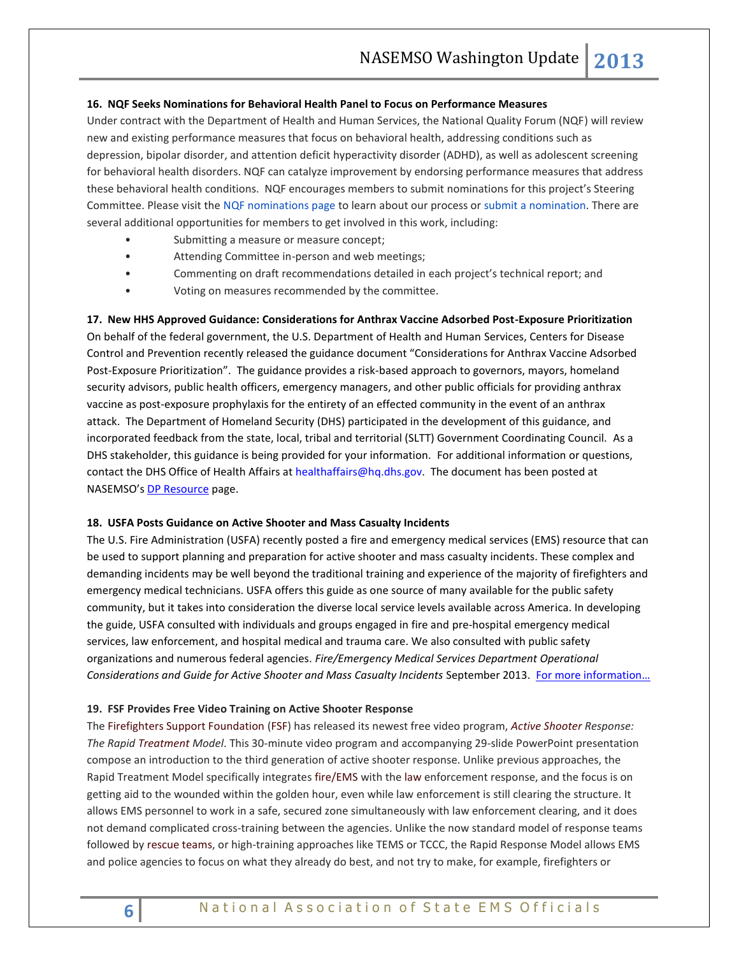## **16. NQF Seeks Nominations for Behavioral Health Panel to Focus on Performance Measures**

Under contract with the Department of Health and Human Services, the National Quality Forum (NQF) will review new and existing performance measures that focus on behavioral health, addressing conditions such as depression, bipolar disorder, and attention deficit hyperactivity disorder (ADHD), as well as adolescent screening for behavioral health disorders. NQF can catalyze improvement by endorsing performance measures that address these behavioral health conditions. NQF encourages members to submit nominations for this project's Steering Committee. Please visit the [NQF nominations page](http://nqf.informz.net/z/cjUucD9taT0zNjA0MjYxJnA9MSZ1PTEwNDMwNzQ3MjYmbGk9MTk3OTQyMTE/index.html) to learn about our process or [submit a nomination.](http://nqf.informz.net/z/cjUucD9taT0zNjA0MjYxJnA9MSZ1PTEwNDMwNzQ3MjYmbGk9MTk3OTQyMTI/index.html) There are several additional opportunities for members to get involved in this work, including:

- Submitting a measure or measure concept;
- Attending Committee in-person and web meetings;
- Commenting on draft recommendations detailed in each project's technical report; and
- Voting on measures recommended by the committee.

# **17. New HHS Approved Guidance: Considerations for Anthrax Vaccine Adsorbed Post-Exposure Prioritization**

On behalf of the federal government, the U.S. Department of Health and Human Services, Centers for Disease Control and Prevention recently released the guidance document "Considerations for Anthrax Vaccine Adsorbed Post-Exposure Prioritization". The guidance provides a risk-based approach to governors, mayors, homeland security advisors, public health officers, emergency managers, and other public officials for providing anthrax vaccine as post-exposure prophylaxis for the entirety of an effected community in the event of an anthrax attack. The Department of Homeland Security (DHS) participated in the development of this guidance, and incorporated feedback from the state, local, tribal and territorial (SLTT) Government Coordinating Council. As a DHS stakeholder, this guidance is being provided for your information. For additional information or questions, contact the DHS Office of Health Affairs at [healthaffairs@hq.dhs.gov.](mailto:healthaffairs@hq.dhs.gov) The document has been posted at NASEMSO's [DP Resource](http://www.nasemso.org/Projects/DomesticPreparedness/National-InternationalResources.asp) page.

#### **18. USFA Posts Guidance on Active Shooter and Mass Casualty Incidents**

The U.S. Fire Administration (USFA) recently posted a fire and emergency medical services (EMS) resource that can be used to support planning and preparation for active shooter and mass casualty incidents. These complex and demanding incidents may be well beyond the traditional training and experience of the majority of firefighters and emergency medical technicians. USFA offers this guide as one source of many available for the public safety community, but it takes into consideration the diverse local service levels available across America. In developing the guide, USFA consulted with individuals and groups engaged in fire and pre-hospital emergency medical services, law enforcement, and hospital medical and trauma care. We also consulted with public safety organizations and numerous federal agencies. *Fire/Emergency Medical Services Department Operational Considerations and Guide for Active Shooter and Mass Casualty Incidents* September 2013. [For more information…](http://www.usfa.fema.gov/fireservice/ops_tactics/disasters/)

## **19. FSF Provides Free Video Training on Active Shooter Response**

Th[e Firefighters Support Foundation](http://www.fireengineering.com/topics/firefighters-support-foundation.htm) [\(FSF\)](http://www.fireengineering.com/topics/fsf.htm) has released its newest free video program, *[Active Shooter](http://www.fireengineering.com/articles/print/volume-164/issue-8/features/lone-wolf-active-shooter-attack-on-texas-public-safety-building.html) Response: The Rapi[d Treatment](http://www.fireengineering.com/topics/treatment.htm) Model*. This 30-minute video program and accompanying 29-slide PowerPoint presentation compose an introduction to the third generation of active shooter response. Unlike previous approaches, the Rapid Treatment Model specifically integrates [fire/EMS](http://www.fireengineering.com/topics/fire-ems.htm) with the [law](http://www.fireengineering.com/topics/law.htm) enforcement response, and the focus is on getting aid to the wounded within the golden hour, even while law enforcement is still clearing the structure. It allows EMS personnel to work in a safe, secured zone simultaneously with law enforcement clearing, and it does not demand complicated cross-training between the agencies. Unlike the now standard model of response teams followed by [rescue teams,](http://www.fireengineering.com/topics/rescue-team.htm) or high-training approaches like TEMS or TCCC, the Rapid Response Model allows EMS and police agencies to focus on what they already do best, and not try to make, for example, firefighters or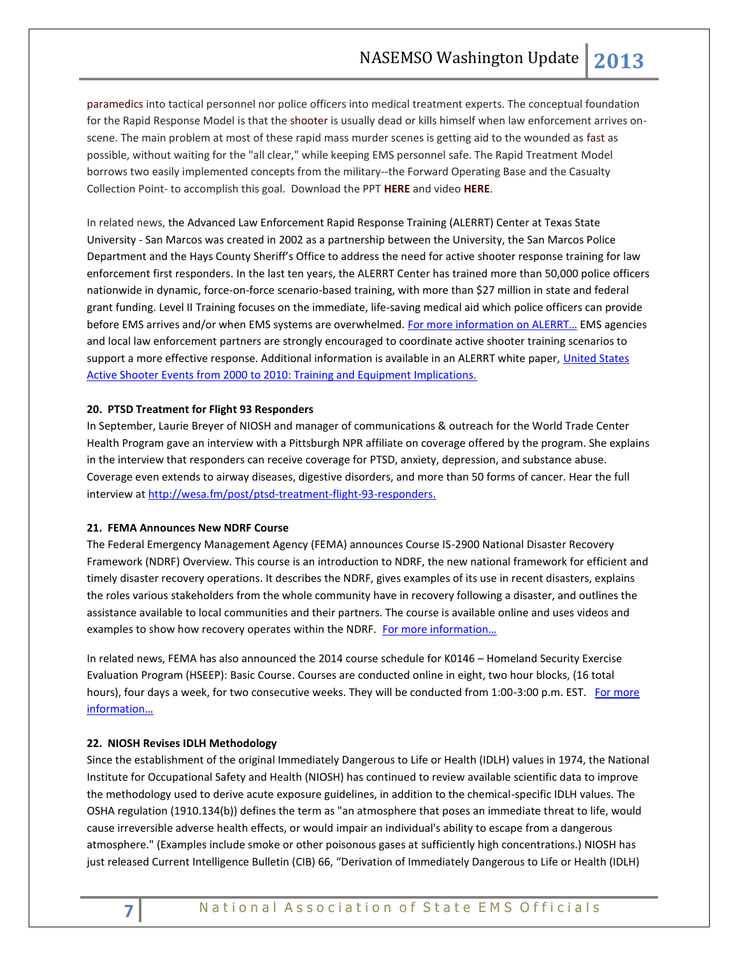[paramedics](http://www.fireengineering.com/topics/paramedics.htm) into tactical personnel nor police officers into medical treatment experts. The conceptual foundation for the Rapid Response Model is that th[e shooter](http://www.fireengineering.com/articles/print/volume-163/issue-4/departments/fire-service_ems/responding-to-active-shooter-incidents.html) is usually dead or kills himself when law enforcement arrives onscene. The main problem at most of these rapid mass murder scenes is getting aid to the wounded as [fast](http://www.fireengineering.com/topics/f.a.s.t.htm) as possible, without waiting for the "all clear," while keeping EMS personnel safe. The Rapid Treatment Model borrows two easily implemented concepts from the military--the Forward Operating Base and the Casualty Collection Point- to accomplish this goal. Download the PPT **[HERE](http://downloads.pennnet.com/fefsf/docs/Active-Shooter-v4.ppt)** and video **[HERE](http://downloads.pennnet.com/fefsf/Active_Shooter_Response.mpg.zip)**.

In related news, the Advanced Law Enforcement Rapid Response Training (ALERRT) Center at Texas State University - San Marcos was created in 2002 as a partnership between the University, the San Marcos Police Department and the Hays County Sheriff's Office to address the need for active shooter response training for law enforcement first responders. In the last ten years, the ALERRT Center has trained more than 50,000 police officers nationwide in dynamic, force-on-force scenario-based training, with more than \$27 million in state and federal grant funding. Level II Training focuses on the immediate, life-saving medical aid which police officers can provide before EMS arrives and/or when EMS systems are overwhelmed. [For more information on AL](http://alerrt.org/)ERRT… EMS agencies and local law enforcement partners are strongly encouraged to coordinate active shooter training scenarios to support a more effective response. Additional information is available in an ALERRT white paper, United States [Active Shooter Events from 2000 to 2010: Training and Equipment Implications.](http://alerrt.org/files/research/ActiveShooterEvents.pdf)

# **20. PTSD Treatment for Flight 93 Responders**

In September, Laurie Breyer of NIOSH and manager of communications & outreach for the World Trade Center Health Program gave an interview with a Pittsburgh NPR affiliate on coverage offered by the program. She explains in the interview that responders can receive coverage for PTSD, anxiety, depression, and substance abuse. Coverage even extends to airway diseases, digestive disorders, and more than 50 forms of cancer. Hear the full interview at [http://wesa.fm/post/ptsd-treatment-flight-93-responders.](http://wesa.fm/post/ptsd-treatment-flight-93-responders)

# **21. FEMA Announces New NDRF Course**

The Federal Emergency Management Agency (FEMA) announces Course IS-2900 National Disaster Recovery Framework (NDRF) Overview. This course is an introduction to NDRF, the new national framework for efficient and timely disaster recovery operations. It describes the NDRF, gives examples of its use in recent disasters, explains the roles various stakeholders from the whole community have in recovery following a disaster, and outlines the assistance available to local communities and their partners. The course is available online and uses videos and examples to show how recovery operates within the NDRF. For more information...

In related news, FEMA has also announced the 2014 course schedule for K0146 – Homeland Security Exercise Evaluation Program (HSEEP): Basic Course. Courses are conducted online in eight, two hour blocks, (16 total hours), four days a week, for two consecutive weeks. They will be conducted from 1:00-3:00 p.m. EST. For more [information…](http://training.fema.gov/EMIGrams/2013/1003%20-%20Training%20Opportunity%20-%20K0146%20HSEEP%20FY14_Training%20Announcement.pdf)

# **22. NIOSH Revises IDLH Methodology**

Since the establishment of the original Immediately Dangerous to Life or Health (IDLH) values in 1974, the National Institute for Occupational Safety and Health (NIOSH) has continued to review available scientific data to improve the methodology used to derive acute exposure guidelines, in addition to the chemical-specific IDLH values. The OSHA regulation (1910.134(b)) defines the term as "an atmosphere that poses an immediate threat to life, would cause irreversible adverse health effects, or would impair an individual's ability to escape from a dangerous atmosphere." (Examples include smoke or other poisonous gases at sufficiently high concentrations.) NIOSH has just released Current Intelligence Bulletin (CIB) 66, "Derivation of Immediately Dangerous to Life or Health (IDLH)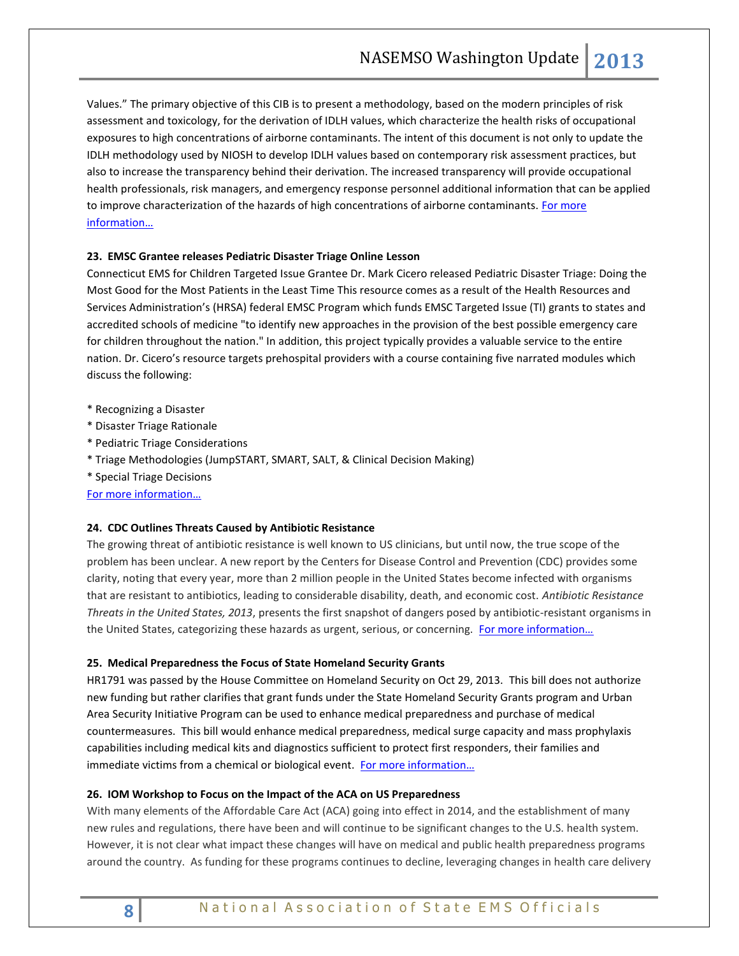Values." The primary objective of this CIB is to present a methodology, based on the modern principles of risk assessment and toxicology, for the derivation of IDLH values, which characterize the health risks of occupational exposures to high concentrations of airborne contaminants. The intent of this document is not only to update the IDLH methodology used by NIOSH to develop IDLH values based on contemporary risk assessment practices, but also to increase the transparency behind their derivation. The increased transparency will provide occupational health professionals, risk managers, and emergency response personnel additional information that can be applied to improve characterization of the hazards of high concentrations of airborne contaminants. For more [information…](http://www.cdc.gov/niosh/docs/2014-100/pdfs/2014-100.pdf)

# **23. EMSC Grantee releases Pediatric Disaster Triage Online Lesson**

Connecticut EMS for Children Targeted Issue Grantee Dr. Mark Cicero released Pediatric Disaster Triage: Doing the Most Good for the Most Patients in the Least Time This resource comes as a result of the Health Resources and Services Administration's (HRSA) federal EMSC Program which funds EMSC Targeted Issue (TI) grants to states and accredited schools of medicine "to identify new approaches in the provision of the best possible emergency care for children throughout the nation." In addition, this project typically provides a valuable service to the entire nation. Dr. Cicero's resource targets prehospital providers with a course containing five narrated modules which discuss the following:

- \* Recognizing a Disaster
- \* Disaster Triage Rationale
- \* Pediatric Triage Considerations
- \* Triage Methodologies (JumpSTART, SMART, SALT, & Clinical Decision Making)
- \* Special Triage Decisions

[For more information…](http://ncdmph.usuhs.edu/NewsEvents/NewsandEvents.htm)

# **24. CDC Outlines Threats Caused by Antibiotic Resistance**

The growing threat of antibiotic resistance is well known to US clinicians, but until now, the true scope of the problem has been unclear. A new report by the Centers for Disease Control and Prevention (CDC) provides some clarity, noting that every year, more than 2 million people in the United States become infected with organisms that are resistant to antibiotics, leading to considerable disability, death, and economic cost. *Antibiotic Resistance Threats in the United States, 2013*, presents the first snapshot of dangers posed by antibiotic-resistant organisms in the United States, categorizing these hazards as urgent, serious, or concerning. For more information...

# **25. Medical Preparedness the Focus of State Homeland Security Grants**

HR1791 was passed by the House Committee on Homeland Security on Oct 29, 2013. This bill does not authorize new funding but rather clarifies that grant funds under the State Homeland Security Grants program and Urban Area Security Initiative Program can be used to enhance medical preparedness and purchase of medical countermeasures. This bill would enhance medical preparedness, medical surge capacity and mass prophylaxis capabilities including medical kits and diagnostics sufficient to protect first responders, their families and immediate victims from a chemical or biological event. [For more information…](http://www.hstoday.us/single-article/bill-to-ensure-preparedness-in-times-of-disaster-passes-house-hs-committee/079194cf2e3749707295c096eb229784.html)

# **26. IOM Workshop to Focus on the Impact of the ACA on US Preparedness**

With many elements of the Affordable Care Act (ACA) going into effect in 2014, and the establishment of many new rules and regulations, there have been and will continue to be significant changes to the U.S. health system. However, it is not clear what impact these changes will have on medical and public health preparedness programs around the country. As funding for these programs continues to decline, leveraging changes in health care delivery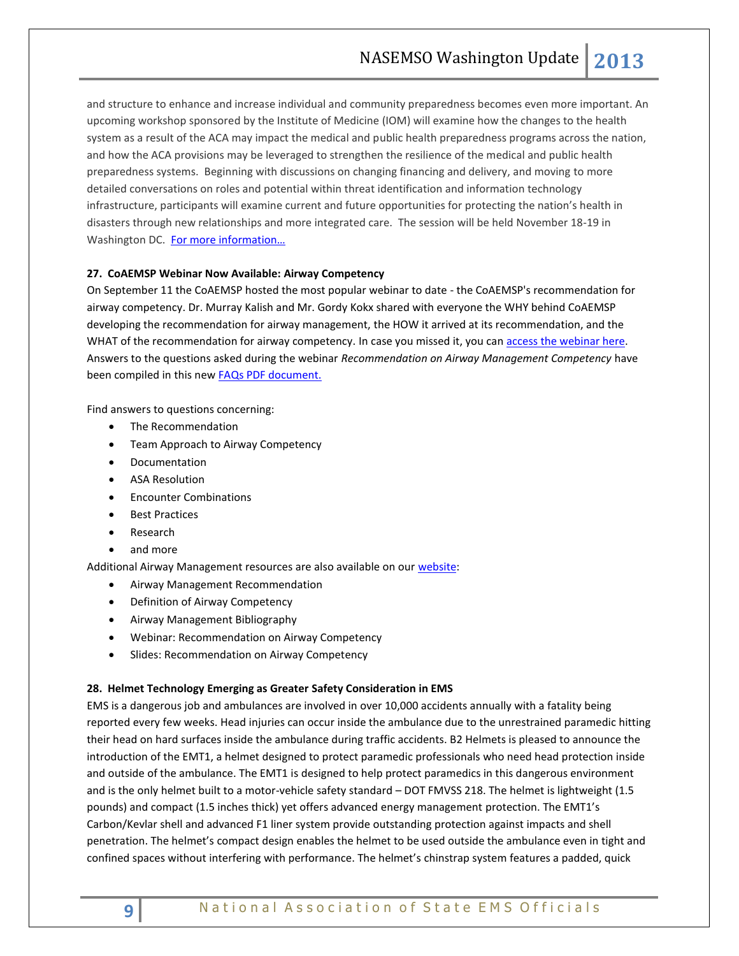and structure to enhance and increase individual and community preparedness becomes even more important. An upcoming workshop sponsored by the Institute of Medicine (IOM) will examine how the changes to the health system as a result of the ACA may impact the medical and public health preparedness programs across the nation, and how the ACA provisions may be leveraged to strengthen the resilience of the medical and public health preparedness systems. Beginning with discussions on changing financing and delivery, and moving to more detailed conversations on roles and potential within threat identification and information technology infrastructure, participants will examine current and future opportunities for protecting the nation's health in disasters through new relationships and more integrated care. The session will be held November 18-19 in Washington DC. For more information...

# **27. CoAEMSP Webinar Now Available: Airway Competency**

On September 11 the CoAEMSP hosted the most popular webinar to date - the CoAEMSP's recommendation for airway competency. Dr. Murray Kalish and Mr. Gordy Kokx shared with everyone the WHY behind CoAEMSP developing the recommendation for airway management, the HOW it arrived at its recommendation, and the WHAT of the recommendation for airway competency. In case you missed it, you ca[n access the webinar here.](http://coaemsp.org/Standards.htm) Answers to the questions asked during the webinar *Recommendation on Airway Management Competency* have been compiled in this new [FAQs PDF document.](http://r20.rs6.net/tn.jsp?e=001DnvyvSJk-QbZRYo5JaaHg-lE4sniRnawBvlWt3ZW5zB9tz6J8hQNQ7eIfxUeybEodakMngHFV2LHBbcE9qQfrlZc_fmlarMn0XENBgA4oCkNxianN8W2xglIn1ohGhUesVXyc_7TUTSDP2D2VOEurNJg8WnfeTfQwiM6eD1UR8d5B26aIgF_V1wOd6jPxsaFIdnL6ed3C3uJC5Vyq1C6vQ==)

Find answers to questions concerning:

- The Recommendation
- Team Approach to Airway Competency
- Documentation
- ASA Resolution
- Encounter Combinations
- Best Practices
- Research
- and more

Additional Airway Management resources are also available on ou[r website:](http://r20.rs6.net/tn.jsp?e=001DnvyvSJk-QYD9-v9CT4fZJtF0SBnmjNl9FDfgZVxb_JnM2o49QammsxN8b-1wV8C6cRHrNY5BNgMbxzl9oNKU61yIKjNPCtvXt8q-YT2fhx3LaZqupgqKs7-9pb3gS7n)

- Airway Management Recommendation
- Definition of Airway Competency
- Airway Management Bibliography
- Webinar: Recommendation on Airway Competency
- **•** Slides: Recommendation on Airway Competency

# **28. Helmet Technology Emerging as Greater Safety Consideration in EMS**

EMS is a dangerous job and ambulances are involved in over 10,000 accidents annually with a fatality being reported every few weeks. Head injuries can occur inside the ambulance due to the unrestrained paramedic hitting their head on hard surfaces inside the ambulance during traffic accidents. B2 Helmets is pleased to announce the introduction of the EMT1, a helmet designed to protect paramedic professionals who need head protection inside and outside of the ambulance. The EMT1 is designed to help protect paramedics in this dangerous environment and is the only helmet built to a motor-vehicle safety standard – DOT FMVSS 218. The helmet is lightweight (1.5 pounds) and compact (1.5 inches thick) yet offers advanced energy management protection. The EMT1's Carbon/Kevlar shell and advanced F1 liner system provide outstanding protection against impacts and shell penetration. The helmet's compact design enables the helmet to be used outside the ambulance even in tight and confined spaces without interfering with performance. The helmet's chinstrap system features a padded, quick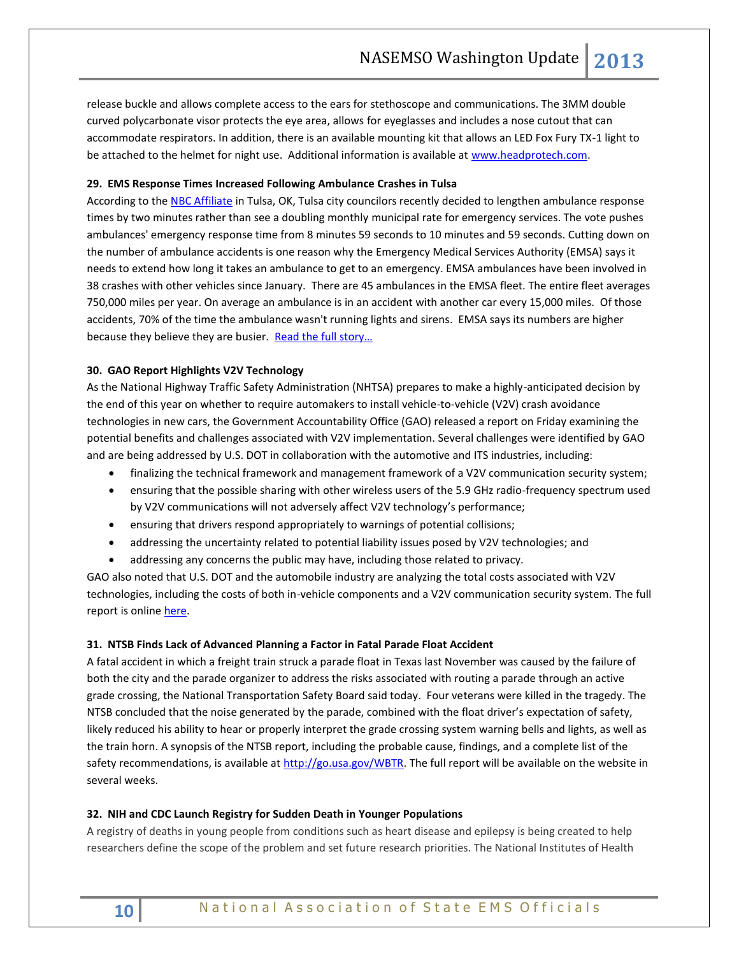release buckle and allows complete access to the ears for stethoscope and communications. The 3MM double curved polycarbonate visor protects the eye area, allows for eyeglasses and includes a nose cutout that can accommodate respirators. In addition, there is an available mounting kit that allows an LED Fox Fury TX-1 light to be attached to the helmet for night use. Additional information is available a[t www.headprotech.com.](http://www.headprotech.com/)

## **29. EMS Response Times Increased Following Ambulance Crashes in Tulsa**

According to th[e NBC Affiliate](http://www.kjrh.com/subindex/about_us) in Tulsa, OK, Tulsa city councilors recently decided to lengthen ambulance response times by two minutes rather than see a doubling monthly municipal rate for emergency services. The vote pushes ambulances' emergency response time from 8 minutes 59 seconds to 10 minutes and 59 seconds. Cutting down on the number of ambulance accidents is one reason why the Emergency Medical Services Authority (EMSA) says it needs to extend how long it takes an ambulance to get to an emergency. EMSA ambulances have been involved in 38 crashes with other vehicles since January. There are 45 ambulances in the EMSA fleet. The entire fleet averages 750,000 miles per year. On average an ambulance is in an accident with another car every 15,000 miles. Of those accidents, 70% of the time the ambulance wasn't running lights and sirens. EMSA says its numbers are higher because they believe they are busier. Read the full story...

# **30. GAO Report Highlights V2V Technology**

As the National Highway Traffic Safety Administration (NHTSA) prepares to make a highly-anticipated decision by the end of this year on whether to require automakers to install vehicle-to-vehicle (V2V) crash avoidance technologies in new cars, the Government Accountability Office (GAO) released a report on Friday examining the potential benefits and challenges associated with V2V implementation. Several challenges were identified by GAO and are being addressed by U.S. DOT in collaboration with the automotive and ITS industries, including:

- finalizing the technical framework and management framework of a V2V communication security system;
- ensuring that the possible sharing with other wireless users of the 5.9 GHz radio-frequency spectrum used by V2V communications will not adversely affect V2V technology's performance;
- ensuring that drivers respond appropriately to warnings of potential collisions;
- addressing the uncertainty related to potential liability issues posed by V2V technologies; and
- addressing any concerns the public may have, including those related to privacy.

GAO also noted that U.S. DOT and the automobile industry are analyzing the total costs associated with V2V technologies, including the costs of both in-vehicle components and a V2V communication security system. The full report is online [here.](http://www.gao.gov/assets/660/658709.pdf)

# **31. NTSB Finds Lack of Advanced Planning a Factor in Fatal Parade Float Accident**

A fatal accident in which a freight train struck a parade float in Texas last November was caused by the failure of both the city and the parade organizer to address the risks associated with routing a parade through an active grade crossing, the National Transportation Safety Board said today. Four veterans were killed in the tragedy. The NTSB concluded that the noise generated by the parade, combined with the float driver's expectation of safety, likely reduced his ability to hear or properly interpret the grade crossing system warning bells and lights, as well as the train horn. A synopsis of the NTSB report, including the probable cause, findings, and a complete list of the safety recommendations, is available at [http://go.usa.gov/WBTR.](http://go.usa.gov/WBTR) The full report will be available on the website in several weeks.

# **32. NIH and CDC Launch Registry for Sudden Death in Younger Populations**

A registry of deaths in young people from conditions such as heart disease and epilepsy is being created to help researchers define the scope of the problem and set future research priorities. The National Institutes of Health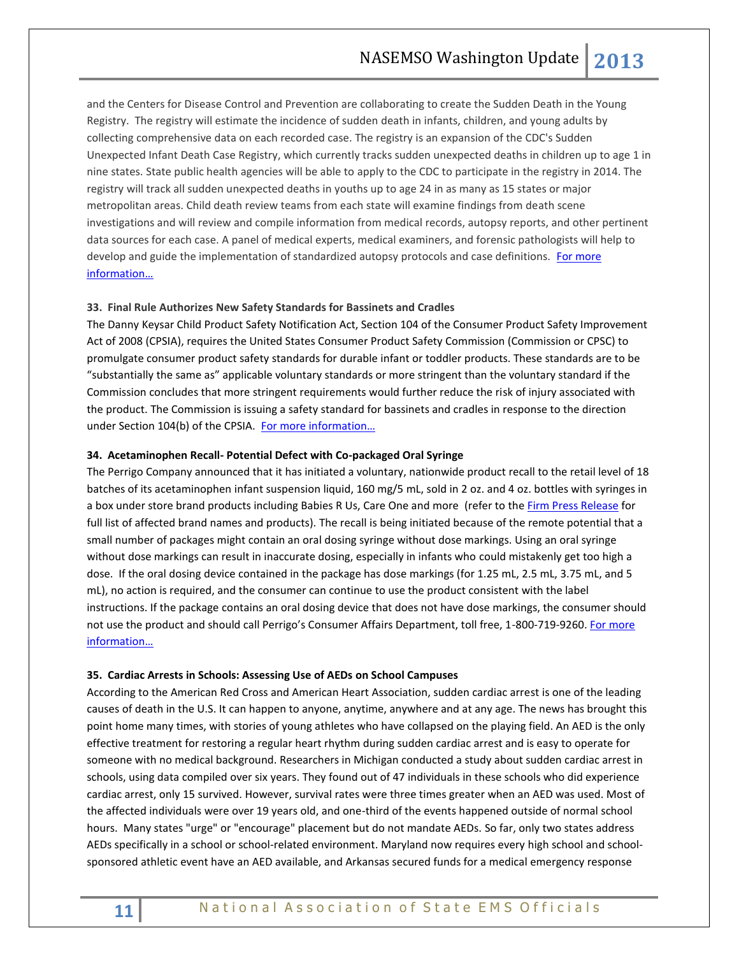and the Centers for Disease Control and Prevention are collaborating to create the Sudden Death in the Young Registry. The registry will estimate the incidence of sudden death in infants, children, and young adults by collecting comprehensive data on each recorded case. The registry is an expansion of the CDC's Sudden Unexpected Infant Death Case Registry, which currently tracks sudden unexpected deaths in children up to age 1 in nine states. State public health agencies will be able to apply to the CDC to participate in the registry in 2014. The registry will track all sudden unexpected deaths in youths up to age 24 in as many as 15 states or major metropolitan areas. Child death review teams from each state will examine findings from death scene investigations and will review and compile information from medical records, autopsy reports, and other pertinent data sources for each case. A panel of medical experts, medical examiners, and forensic pathologists will help to develop and guide the implementation of standardized autopsy protocols and case definitions. For more [information…](http://www.nih.gov/news/health/oct2013/nhlbi-24.htm)

# **33. Final Rule Authorizes New Safety Standards for Bassinets and Cradles**

The Danny Keysar Child Product Safety Notification Act, Section 104 of the Consumer Product Safety Improvement Act of 2008 (CPSIA), requires the United States Consumer Product Safety Commission (Commission or CPSC) to promulgate consumer product safety standards for durable infant or toddler products. These standards are to be "substantially the same as" applicable voluntary standards or more stringent than the voluntary standard if the Commission concludes that more stringent requirements would further reduce the risk of injury associated with the product. The Commission is issuing a safety standard for bassinets and cradles in response to the direction under Section 104(b) of the CPSIA. [For more information…](https://www.federalregister.gov/articles/2013/10/23/2013-24203/safety-standard-for-bassinets-and-cradles)

#### **34. Acetaminophen Recall- Potential Defect with Co-packaged Oral Syringe**

The Perrigo Company announced that it has initiated a voluntary, nationwide product recall to the retail level of 18 batches of its acetaminophen infant suspension liquid, 160 mg/5 mL, sold in 2 oz. and 4 oz. bottles with syringes in a box under store brand products including Babies R Us, Care One and more (refer to the [Firm Press Release](http://links.govdelivery.com/track?type=click&enid=ZWFzPTEmbWFpbGluZ2lkPTIwMTMxMTAyLjI0NzkxNTUxJm1lc3NhZ2VpZD1NREItUFJELUJVTC0yMDEzMTEwMi4yNDc5MTU1MSZkYXRhYmFzZWlkPTEwMDEmc2VyaWFsPTE2OTYwOTY1JmVtYWlsaWQ9a3JvYmluc29uQGFzbWlpLm5ldCZ1c2VyaWQ9a3JvYmluc29uQGFzbWlpLm5ldCZmbD0mZXh0cmE9TXVsdGl2YXJpYXRlSWQ9JiYm&&&100&&&http://www.fda.gov/Safety/Recalls/ucm373338.htm?source=govdelivery&utm_medium=email&utm_source=govdelivery) for full list of affected brand names and products). The recall is being initiated because of the remote potential that a small number of packages might contain an oral dosing syringe without dose markings. Using an oral syringe without dose markings can result in inaccurate dosing, especially in infants who could mistakenly get too high a dose. If the oral dosing device contained in the package has dose markings (for 1.25 mL, 2.5 mL, 3.75 mL, and 5 mL), no action is required, and the consumer can continue to use the product consistent with the label instructions. If the package contains an oral dosing device that does not have dose markings, the consumer should not use the product and should call Perrigo's Consumer Affairs Department, toll free, 1-800-719-9260. [For more](http://www.fda.gov/Safety/MedWatch/SafetyInformation/SafetyAlertsforHumanMedicalProducts/ucm373404.htm)  [information…](http://www.fda.gov/Safety/MedWatch/SafetyInformation/SafetyAlertsforHumanMedicalProducts/ucm373404.htm)

#### **35. Cardiac Arrests in Schools: Assessing Use of AEDs on School Campuses**

According to the American Red Cross and American Heart Association, sudden cardiac arrest is one of the leading causes of death in the U.S. It can happen to anyone, anytime, anywhere and at any age. The news has brought this point home many times, with stories of young athletes who have collapsed on the playing field. An AED is the only effective treatment for restoring a regular heart rhythm during sudden cardiac arrest and is easy to operate for someone with no medical background. Researchers in Michigan conducted a study about sudden cardiac arrest in schools, using data compiled over six years. They found out of 47 individuals in these schools who did experience cardiac arrest, only 15 survived. However, survival rates were three times greater when an AED was used. Most of the affected individuals were over 19 years old, and one-third of the events happened outside of normal school hours. Many states "urge" or "encourage" placement but do not mandate AEDs. So far, only two states address AEDs specifically in a school or school-related environment. Maryland now requires every high school and schoolsponsored athletic event have an AED available, and Arkansas secured funds for a medical emergency response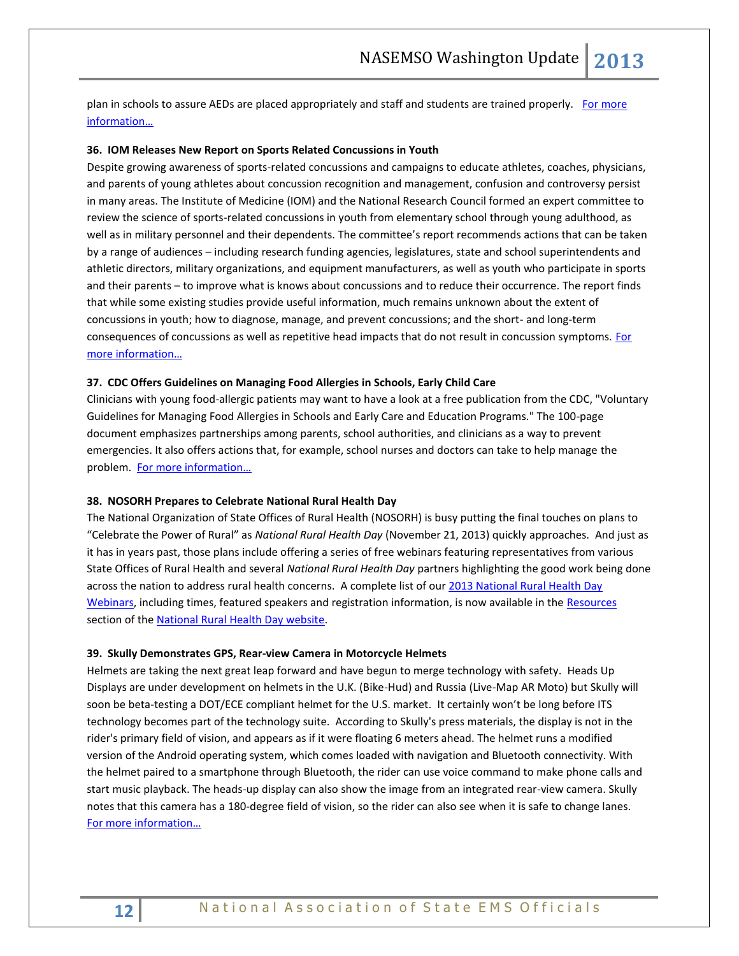plan in schools to assure AEDs are placed appropriately and staff and students are trained properly. For more [information…](http://www.resuscitationjournal.com/article/S0300-9572(12)00803-9/abstract)

## **36. IOM Releases New Report on Sports Related Concussions in Youth**

Despite growing awareness of sports-related concussions and campaigns to educate athletes, coaches, physicians, and parents of young athletes about concussion recognition and management, confusion and controversy persist in many areas. The Institute of Medicine (IOM) and the National Research Council formed an expert committee to review the science of sports-related concussions in youth from elementary school through young adulthood, as well as in military personnel and their dependents. The committee's report recommends actions that can be taken by a range of audiences – including research funding agencies, legislatures, state and school superintendents and athletic directors, military organizations, and equipment manufacturers, as well as youth who participate in sports and their parents – to improve what is knows about concussions and to reduce their occurrence. The report finds that while some existing studies provide useful information, much remains unknown about the extent of concussions in youth; how to diagnose, manage, and prevent concussions; and the short- and long-term consequences of concussions as well as repetitive head impacts that do not result in concussion symptoms. For [more information…](http://www.iom.edu/Reports/2013/Sports-Related-Concussions-in-Youth-Improving-the-Science-Changing-the-Culture.aspx)

## **37. CDC Offers Guidelines on Managing Food Allergies in Schools, Early Child Care**

Clinicians with young food-allergic patients may want to have a look at a free publication from the CDC, "Voluntary Guidelines for Managing Food Allergies in Schools and Early Care and Education Programs." The 100-page document emphasizes partnerships among parents, school authorities, and clinicians as a way to prevent emergencies. It also offers actions that, for example, school nurses and doctors can take to help manage the problem. [For more information…](http://www.cdc.gov/healthyyouth/foodallergies/pdf/13_243135_A_Food_Allergy_Web_508.pdf)

## **38. NOSORH Prepares to Celebrate National Rural Health Day**

The National Organization of State Offices of Rural Health (NOSORH) is busy putting the final touches on plans to "Celebrate the Power of Rural" as *National Rural Health Day* (November 21, 2013) quickly approaches. And just as it has in years past, those plans include offering a series of free webinars featuring representatives from various State Offices of Rural Health and several *National Rural Health Day* partners highlighting the good work being done across the nation to address rural health concerns. A complete list of our [2013 National Rural Health Day](http://celebratepowerofrural.org/?page_id=1031)  [Webinars,](http://celebratepowerofrural.org/?page_id=1031) including times, featured speakers and registration information, is now available in the [Resources](http://celebratepowerofrural.org/?page_id=129) section of the [National Rural Health Day website.](http://celebratepowerofrural.org/)

#### **39. Skully Demonstrates GPS, Rear-view Camera in Motorcycle Helmets**

Helmets are taking the next great leap forward and have begun to merge technology with safety. Heads Up Displays are under development on helmets in the U.K. (Bike-Hud) and Russia (Live-Map AR Moto) but Skully will soon be beta-testing a DOT/ECE compliant helmet for the U.S. market. It certainly won't be long before ITS technology becomes part of the technology suite. According to Skully's press materials, the display is not in the rider's primary field of vision, and appears as if it were floating 6 meters ahead. The helmet runs a modified version of the Android operating system, which comes loaded with navigation and Bluetooth connectivity. With the helmet paired to a smartphone through Bluetooth, the rider can use voice command to make phone calls and start music playback. The heads-up display can also show the image from an integrated rear-view camera. Skully notes that this camera has a 180-degree field of vision, so the rider can also see when it is safe to change lanes. [For more information…](http://news.cnet.com/8301-17938_105-57607680-1/skully-demonstrates-gps-rear-view-camera-in-motorcycle-helmet/)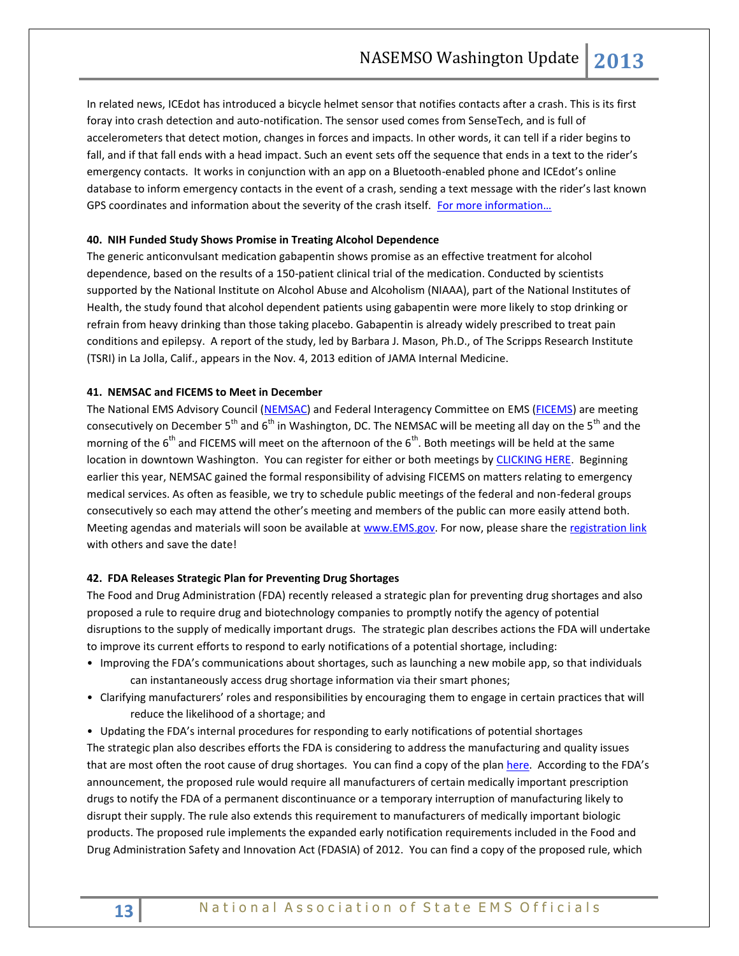In related news, ICEdot has introduced a bicycle helmet sensor that notifies contacts after a crash. This is its first foray into crash detection and auto-notification. The sensor used comes from SenseTech, and is full of accelerometers that detect motion, changes in forces and impacts. In other words, it can tell if a rider begins to fall, and if that fall ends with a head impact. Such an event sets off the sequence that ends in a text to the rider's emergency contacts. It works in conjunction with an app on a Bluetooth-enabled phone and ICEdot's online database to inform emergency contacts in the event of a crash, sending a text message with the rider's last known GPS coordinates and information about the severity of the crash itself. For more information...

# **40. NIH Funded Study Shows Promise in Treating Alcohol Dependence**

The generic anticonvulsant medication gabapentin shows promise as an effective treatment for alcohol dependence, based on the results of a 150-patient clinical trial of the medication. Conducted by scientists supported by the National Institute on Alcohol Abuse and Alcoholism (NIAAA), part of the National Institutes of Health, the study found that alcohol dependent patients using gabapentin were more likely to stop drinking or refrain from heavy drinking than those taking placebo. Gabapentin is already widely prescribed to treat pain conditions and epilepsy. A report of the study, led by Barbara J. Mason, Ph.D., of The Scripps Research Institute (TSRI) in La Jolla, Calif., appears in the Nov. 4, 2013 edition of JAMA Internal Medicine.

# **41. NEMSAC and FICEMS to Meet in December**

The National EMS Advisory Council [\(NEMSAC\)](http://ems.gov/NEMSAC.htm) and Federal Interagency Committee on EMS [\(FICEMS\)](http://ems.gov/FICEMS.htm) are meeting consecutively on December  $5<sup>th</sup>$  and  $6<sup>th</sup>$  in Washington, DC. The NEMSAC will be meeting all day on the  $5<sup>th</sup>$  and the morning of the  $6<sup>th</sup>$  and FICEMS will meet on the afternoon of the  $6<sup>th</sup>$ . Both meetings will be held at the same location in downtown Washington. You can register for either or both meetings by [CLICKING HERE.](https://www.signup4.net/Public/ap.aspx?EID=NEMS10E) Beginning earlier this year, NEMSAC gained the formal responsibility of advising FICEMS on matters relating to emergency medical services. As often as feasible, we try to schedule public meetings of the federal and non-federal groups consecutively so each may attend the other's meeting and members of the public can more easily attend both. Meeting agendas and materials will soon be available at [www.EMS.gov.](http://www.ems.gov/) For now, please share the [registration link](https://www.signup4.net/Public/ap.aspx?EID=NEMS10E) with others and save the date!

## **42. FDA Releases Strategic Plan for Preventing Drug Shortages**

The Food and Drug Administration (FDA) recently released a strategic plan for preventing drug shortages and also proposed a rule to require drug and biotechnology companies to promptly notify the agency of potential disruptions to the supply of medically important drugs. The strategic plan describes actions the FDA will undertake to improve its current efforts to respond to early notifications of a potential shortage, including:

- Improving the FDA's communications about shortages, such as launching a new mobile app, so that individuals can instantaneously access drug shortage information via their smart phones;
- Clarifying manufacturers' roles and responsibilities by encouraging them to engage in certain practices that will reduce the likelihood of a shortage; and
- Updating the FDA's internal procedures for responding to early notifications of potential shortages The strategic plan also describes efforts the FDA is considering to address the manufacturing and quality issues that are most often the root cause of drug shortages. You can find a copy of the plan [here.](http://www.fda.gov/downloads/Drugs/DrugSafety/DrugShortages/UCM372566.pdf) According to the FDA's announcement, the proposed rule would require all manufacturers of certain medically important prescription drugs to notify the FDA of a permanent discontinuance or a temporary interruption of manufacturing likely to disrupt their supply. The rule also extends this requirement to manufacturers of medically important biologic products. The proposed rule implements the expanded early notification requirements included in the Food and Drug Administration Safety and Innovation Act (FDASIA) of 2012. You can find a copy of the proposed rule, which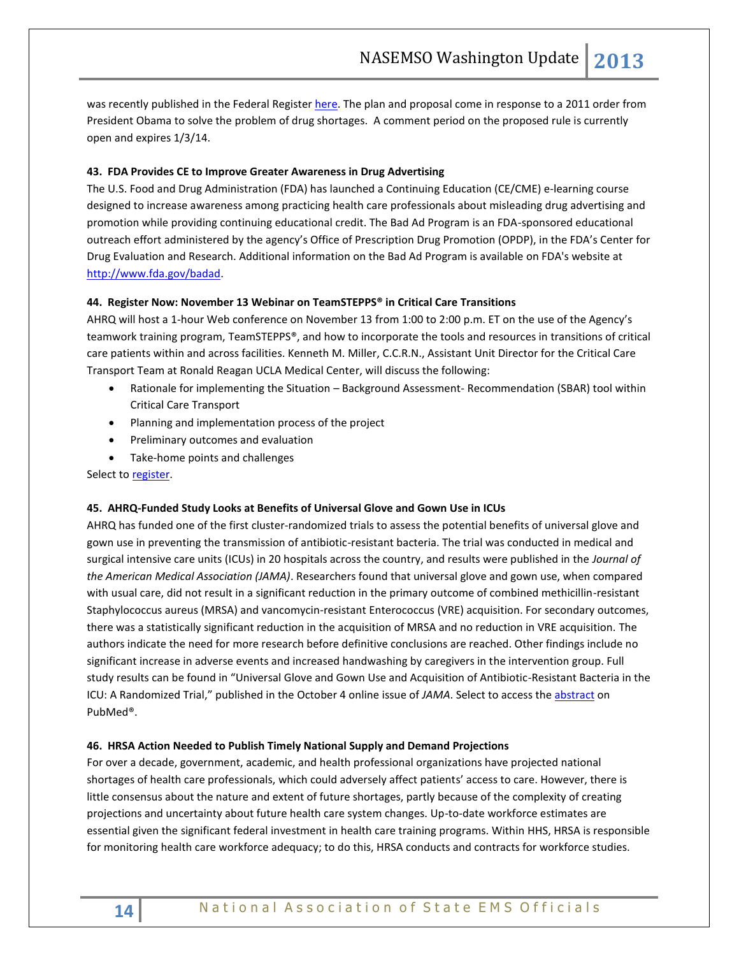was recently published in the Federal Register [here.](https://s3.amazonaws.com/public-inspection.federalregister.gov/2013-25956.pdf) The plan and proposal come in response to a 2011 order from President Obama to solve the problem of drug shortages. A comment period on the proposed rule is currently open and expires 1/3/14.

# **43. FDA Provides CE to Improve Greater Awareness in Drug Advertising**

The U.S. Food and Drug Administration (FDA) has launched a Continuing Education (CE/CME) e-learning course designed to increase awareness among practicing health care professionals about misleading drug advertising and promotion while providing continuing educational credit. The Bad Ad Program is an FDA-sponsored educational outreach effort administered by the agency's Office of Prescription Drug Promotion (OPDP), in the FDA's Center for Drug Evaluation and Research. Additional information on the Bad Ad Program is available on FDA's website at [http://www.fda.gov/badad.](http://www.fda.gov/badad)

# **44. Register Now: November 13 Webinar on TeamSTEPPS® in Critical Care Transitions**

AHRQ will host a 1-hour Web conference on November 13 from 1:00 to 2:00 p.m. ET on the use of the Agency's teamwork training program, TeamSTEPPS®, and how to incorporate the tools and resources in transitions of critical care patients within and across facilities. Kenneth M. Miller, C.C.R.N., Assistant Unit Director for the Critical Care Transport Team at Ronald Reagan UCLA Medical Center, will discuss the following:

- Rationale for implementing the Situation Background Assessment- Recommendation (SBAR) tool within Critical Care Transport
- Planning and implementation process of the project
- Preliminary outcomes and evaluation
- Take-home points and challenges

Select t[o register.](http://links.govdelivery.com/track?type=click&enid=ZWFzPTEmbWFpbGluZ2lkPTIwMTMxMDI4LjI0NTk1MTQxJm1lc3NhZ2VpZD1NREItUFJELUJVTC0yMDEzMTAyOC4yNDU5NTE0MSZkYXRhYmFzZWlkPTEwMDEmc2VyaWFsPTE3ODQwNzUzJmVtYWlsaWQ9cm9iaW5zb25AbmFzZW1zby5vcmcmdXNlcmlkPXJvYmluc29uQG5hc2Vtc28ub3JnJmZsPSZleHRyYT1NdWx0aXZhcmlhdGVJZD0mJiY=&&&108&&&https://www.onlineregistrationcenter.com/register.asp?m=347&c=59&usc=november)

# **45. AHRQ-Funded Study Looks at Benefits of Universal Glove and Gown Use in ICUs**

AHRQ has funded one of the first cluster-randomized trials to assess the potential benefits of universal glove and gown use in preventing the transmission of antibiotic-resistant bacteria. The trial was conducted in medical and surgical intensive care units (ICUs) in 20 hospitals across the country, and results were published in the *Journal of the American Medical Association (JAMA)*. Researchers found that universal glove and gown use, when compared with usual care, did not result in a significant reduction in the primary outcome of combined methicillin-resistant Staphylococcus aureus (MRSA) and vancomycin-resistant Enterococcus (VRE) acquisition. For secondary outcomes, there was a statistically significant reduction in the acquisition of MRSA and no reduction in VRE acquisition. The authors indicate the need for more research before definitive conclusions are reached. Other findings include no significant increase in adverse events and increased handwashing by caregivers in the intervention group. Full study results can be found in "Universal Glove and Gown Use and Acquisition of Antibiotic-Resistant Bacteria in the ICU: A Randomized Trial," published in the October 4 online issue of *JAMA*. Select to access th[e abstract](http://links.govdelivery.com/track?type=click&enid=ZWFzPTEmbWFpbGluZ2lkPTIwMTMxMDIzLjI0NDA3NjAxJm1lc3NhZ2VpZD1NREItUFJELUJVTC0yMDEzMTAyMy4yNDQwNzYwMSZkYXRhYmFzZWlkPTEwMDEmc2VyaWFsPTE3ODMyODEwJmVtYWlsaWQ9cm9iaW5zb25AbmFzZW1zby5vcmcmdXNlcmlkPXJvYmluc29uQG5hc2Vtc28ub3JnJmZsPSZleHRyYT1NdWx0aXZhcmlhdGVJZD0mJiY=&&&100&&&http://www.ncbi.nlm.nih.gov/pubmed/?term=Universal+Glove+and+Gown+Use+and+Acquisition+of+Antibiotic-Resistant+Bacteria+in+the+ICU%3A+A+Randomized+Trial%2C%E2%80%9D) on PubMed®.

# **46. HRSA Action Needed to Publish Timely National Supply and Demand Projections**

For over a decade, government, academic, and health professional organizations have projected national shortages of health care professionals, which could adversely affect patients' access to care. However, there is little consensus about the nature and extent of future shortages, partly because of the complexity of creating projections and uncertainty about future health care system changes. Up-to-date workforce estimates are essential given the significant federal investment in health care training programs. Within HHS, HRSA is responsible for monitoring health care workforce adequacy; to do this, HRSA conducts and contracts for workforce studies.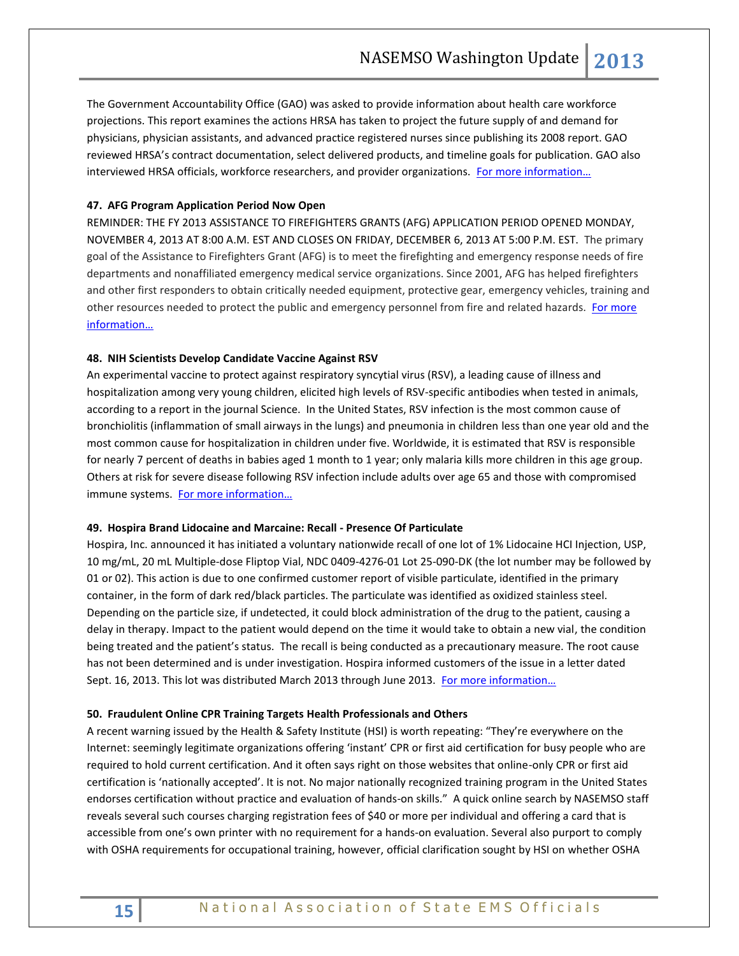The Government Accountability Office (GAO) was asked to provide information about health care workforce projections. This report examines the actions HRSA has taken to project the future supply of and demand for physicians, physician assistants, and advanced practice registered nurses since publishing its 2008 report. GAO reviewed HRSA's contract documentation, select delivered products, and timeline goals for publication. GAO also interviewed HRSA officials, workforce researchers, and provider organizations. For more information...

# **47. AFG Program Application Period Now Open**

REMINDER: THE FY 2013 ASSISTANCE TO FIREFIGHTERS GRANTS (AFG) APPLICATION PERIOD OPENED MONDAY, NOVEMBER 4, 2013 AT 8:00 A.M. EST AND CLOSES ON FRIDAY, DECEMBER 6, 2013 AT 5:00 P.M. EST. The primary goal of the Assistance to Firefighters Grant (AFG) is to meet the firefighting and emergency response needs of fire departments and nonaffiliated emergency medical service organizations. Since 2001, AFG has helped firefighters and other first responders to obtain critically needed equipment, protective gear, emergency vehicles, training and other resources needed to protect the public and emergency personnel from fire and related hazards. [For more](http://www.fema.gov/assistance-firefighters-grant)  [information…](http://www.fema.gov/assistance-firefighters-grant)

# **48. NIH Scientists Develop Candidate Vaccine Against RSV**

An experimental vaccine to protect against respiratory syncytial virus (RSV), a leading cause of illness and hospitalization among very young children, elicited high levels of RSV-specific antibodies when tested in animals, according to a report in the journal Science. In the United States, RSV infection is the most common cause of bronchiolitis (inflammation of small airways in the lungs) and pneumonia in children less than one year old and the most common cause for hospitalization in children under five. Worldwide, it is estimated that RSV is responsible for nearly 7 percent of deaths in babies aged 1 month to 1 year; only malaria kills more children in this age group. Others at risk for severe disease following RSV infection include adults over age 65 and those with compromised immune systems. [For more information…](http://www.nih.gov/news/health/oct2013/niaid-31.htm)

#### **49. Hospira Brand Lidocaine and Marcaine: Recall - Presence Of Particulate**

Hospira, Inc. announced it has initiated a voluntary nationwide recall of one lot of 1% Lidocaine HCI Injection, USP, 10 mg/mL, 20 mL Multiple-dose Fliptop Vial, NDC 0409-4276-01 Lot 25-090-DK (the lot number may be followed by 01 or 02). This action is due to one confirmed customer report of visible particulate, identified in the primary container, in the form of dark red/black particles. The particulate was identified as oxidized stainless steel. Depending on the particle size, if undetected, it could block administration of the drug to the patient, causing a delay in therapy. Impact to the patient would depend on the time it would take to obtain a new vial, the condition being treated and the patient's status. The recall is being conducted as a precautionary measure. The root cause has not been determined and is under investigation. Hospira informed customers of the issue in a letter dated Sept. 16, 2013. This lot was distributed March 2013 through June 2013. For more information...

#### **50. Fraudulent Online CPR Training Targets Health Professionals and Others**

A recent warning issued by the Health & Safety Institute (HSI) is worth repeating: "They're everywhere on the Internet: seemingly legitimate organizations offering 'instant' CPR or first aid certification for busy people who are required to hold current certification. And it often says right on those websites that online-only CPR or first aid certification is 'nationally accepted'. It is not. No major nationally recognized training program in the United States endorses certification without practice and evaluation of hands-on skills." A quick online search by NASEMSO staff reveals several such courses charging registration fees of \$40 or more per individual and offering a card that is accessible from one's own printer with no requirement for a hands-on evaluation. Several also purport to comply with OSHA requirements for occupational training, however, official clarification sought by HSI on whether OSHA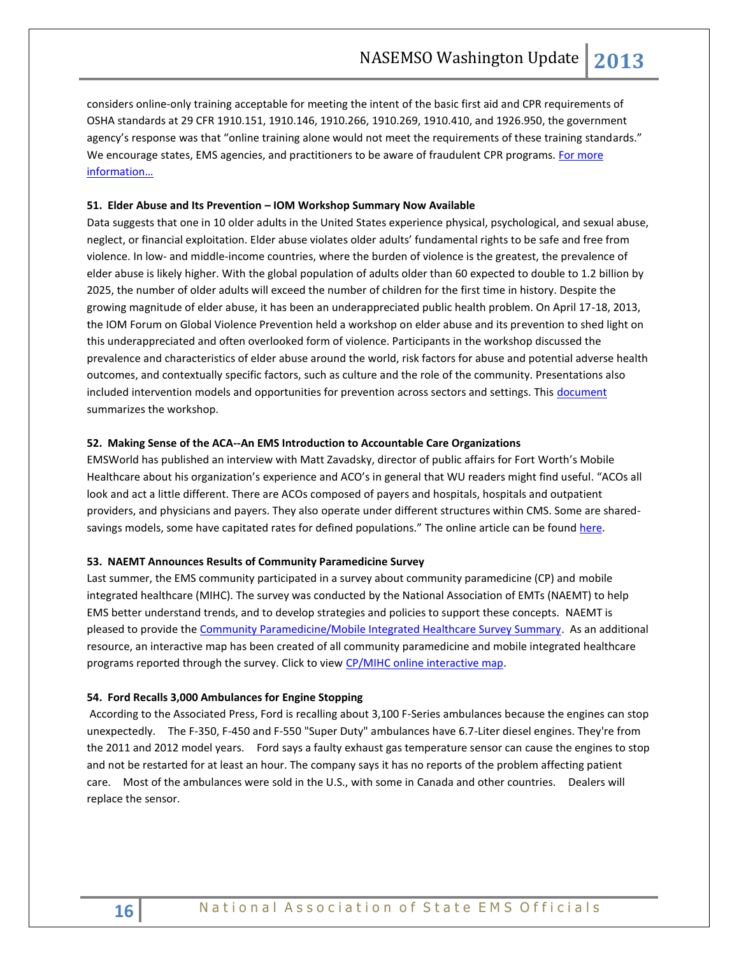considers online-only training acceptable for meeting the intent of the basic first aid and CPR requirements of OSHA standards at 29 CFR 1910.151, 1910.146, 1910.266, 1910.269, 1910.410, and 1926.950, the government agency's response was that "online training alone would not meet the requirements of these training standards." We encourage states, EMS agencies, and practitioners to be aware of fraudulent CPR programs. For more [information…](http://www.onlineonlycprfirstaidsham.com/)

# **51. Elder Abuse and Its Prevention – IOM Workshop Summary Now Available**

Data suggests that one in 10 older adults in the United States experience physical, psychological, and sexual abuse, neglect, or financial exploitation. Elder abuse violates older adults' fundamental rights to be safe and free from violence. In low- and middle-income countries, where the burden of violence is the greatest, the prevalence of elder abuse is likely higher. With the global population of adults older than 60 expected to double to 1.2 billion by 2025, the number of older adults will exceed the number of children for the first time in history. Despite the growing magnitude of elder abuse, it has been an underappreciated public health problem. On April 17-18, 2013, the IOM Forum on Global Violence Prevention held a workshop on elder abuse and its prevention to shed light on this underappreciated and often overlooked form of violence. Participants in the workshop discussed the prevalence and characteristics of elder abuse around the world, risk factors for abuse and potential adverse health outcomes, and contextually specific factors, such as culture and the role of the community. Presentations also included intervention models and opportunities for prevention across sectors and settings. This [document](http://iom.edu/Reports/2013/Elder-Abuse-and-Its-Prevention) summarizes the workshop.

#### **52. Making Sense of the ACA--An EMS Introduction to Accountable Care Organizations**

EMSWorld has published an interview with Matt Zavadsky, director of public affairs for Fort Worth's Mobile Healthcare about his organization's experience and ACO's in general that WU readers might find useful. "ACOs all look and act a little different. There are ACOs composed of payers and hospitals, hospitals and outpatient providers, and physicians and payers. They also operate under different structures within CMS. Some are sharedsavings models, some have capitated rates for defined populations." The online article can be found [here.](http://www.emsworld.com/article/11186915/accountable-care-organizations-and-ems)

## **53. NAEMT Announces Results of Community Paramedicine Survey**

Last summer, the EMS community participated in a survey about community paramedicine (CP) and mobile integrated healthcare (MIHC). The survey was conducted by the National Association of EMTs (NAEMT) to help EMS better understand trends, and to develop strategies and policies to support these concepts. NAEMT is pleased to provide the [Community Paramedicine/Mobile Integrated Healthcare Survey Summary.](http://r20.rs6.net/tn.jsp?e=0016Ip8n9XwNsGu8Q7zyAyX8cuIwv_4zh5rEiTjW2UqOoNBludJ_O4M0ZqKZExF2NFAtjSMwJMI5OEMwpOo4K5YgjSjihPC3Y06JuUaPhZgFNzLv2-Dn26TIgfEiQ6GZeV169_mlTfdJQRS2nICi6n0DzQV-AZYl_IRPnoSOWXe-SuEbmK4T0TTQEk4QtqQKbI4Q6HuZ0UvqRGyvA3fLJVbBr-VkHBrCcDL) As an additional resource, an interactive map has been created of all community paramedicine and mobile integrated healthcare programs reported through the survey. Click to view [CP/MIHC online interactive map.](http://r20.rs6.net/tn.jsp?e=0016Ip8n9XwNsGRIK-net-nKqmjyWMKFzBdvdfS-FHitHGw_2PotBIPU2aToA9x8ejRfj6WeY_FvsHCdac5Y0WU14UnDrE69TimmHAU2ZQr4fPZRGvvXErL0g==)

#### **54. Ford Recalls 3,000 Ambulances for Engine Stopping**

According to the Associated Press, Ford is recalling about 3,100 F-Series ambulances because the engines can stop unexpectedly. The F-350, F-450 and F-550 "Super Duty" ambulances have 6.7-Liter diesel engines. They're from the 2011 and 2012 model years. Ford says a faulty exhaust gas temperature sensor can cause the engines to stop and not be restarted for at least an hour. The company says it has no reports of the problem affecting patient care. Most of the ambulances were sold in the U.S., with some in Canada and other countries. Dealers will replace the sensor.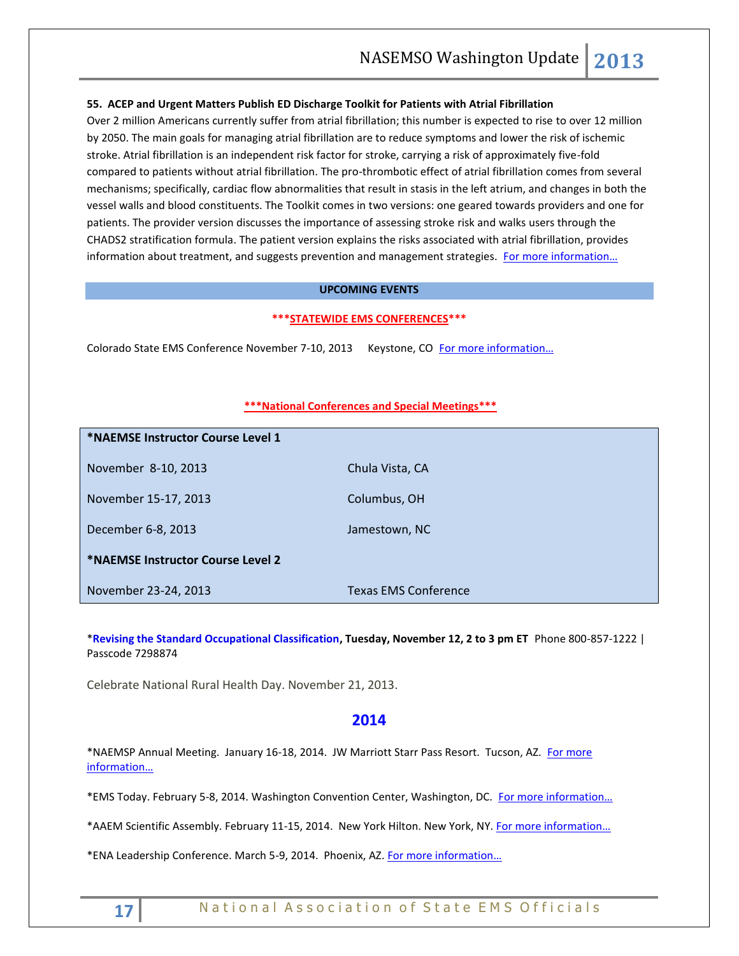# **55. ACEP and Urgent Matters Publish ED Discharge Toolkit for Patients with Atrial Fibrillation**

Over 2 million Americans currently suffer from atrial fibrillation; this number is expected to rise to over 12 million by 2050. The main goals for managing atrial fibrillation are to reduce symptoms and lower the risk of ischemic stroke. Atrial fibrillation is an independent risk factor for stroke, carrying a risk of approximately five-fold compared to patients without atrial fibrillation. The pro-thrombotic effect of atrial fibrillation comes from several mechanisms; specifically, cardiac flow abnormalities that result in stasis in the left atrium, and changes in both the vessel walls and blood constituents. The Toolkit comes in two versions: one geared towards providers and one for patients. The provider version discusses the importance of assessing stroke risk and walks users through the CHADS2 stratification formula. The patient version explains the risks associated with atrial fibrillation, provides information about treatment, and suggests prevention and management strategies. For more information...

# **UPCOMING EVENTS**

## **\*\*\*STATEWIDE EMS CONFERENCES\*\*\***

Colorado State EMS Conference November 7-10, 2013 Keystone, CO For more information...

#### **\*\*\*National Conferences and Special Meetings\*\*\***

| *NAEMSE Instructor Course Level 1 |                             |
|-----------------------------------|-----------------------------|
| November 8-10, 2013               | Chula Vista, CA             |
| November 15-17, 2013              | Columbus, OH                |
| December 6-8, 2013                | Jamestown, NC               |
| *NAEMSE Instructor Course Level 2 |                             |
| November 23-24, 2013              | <b>Texas EMS Conference</b> |

\***[Revising the Standard Occupational Classification,](https://hrsa.connectsolutions.com/health_wrkfrc_webinar/) Tuesday, November 12, 2 to 3 pm ET** Phone 800-857-1222 | Passcode 7298874

Celebrate National Rural Health Day. November 21, 2013.

# **2014**

\*NAEMSP Annual Meeting. January 16-18, 2014. JW Marriott Starr Pass Resort. Tucson, AZ. [For more](http://www.naemsp.org/Pages/Annual-Meeting.aspx)  [information…](http://www.naemsp.org/Pages/Annual-Meeting.aspx)

\*EMS Today. February 5-8, 2014. Washington Convention Center, Washington, DC. [For more information…](http://www.emstoday.com/index.html)

\*AAEM Scientific Assembly. February 11-15, 2014. New York Hilton. New York, NY. [For more information…](http://www.aaem.org/education/scientific-assembly)

\*ENA Leadership Conference. March 5-9, 2014. Phoenix, AZ. [For more information…](http://www.ena.org/education/conferences/Pages/default.aspx)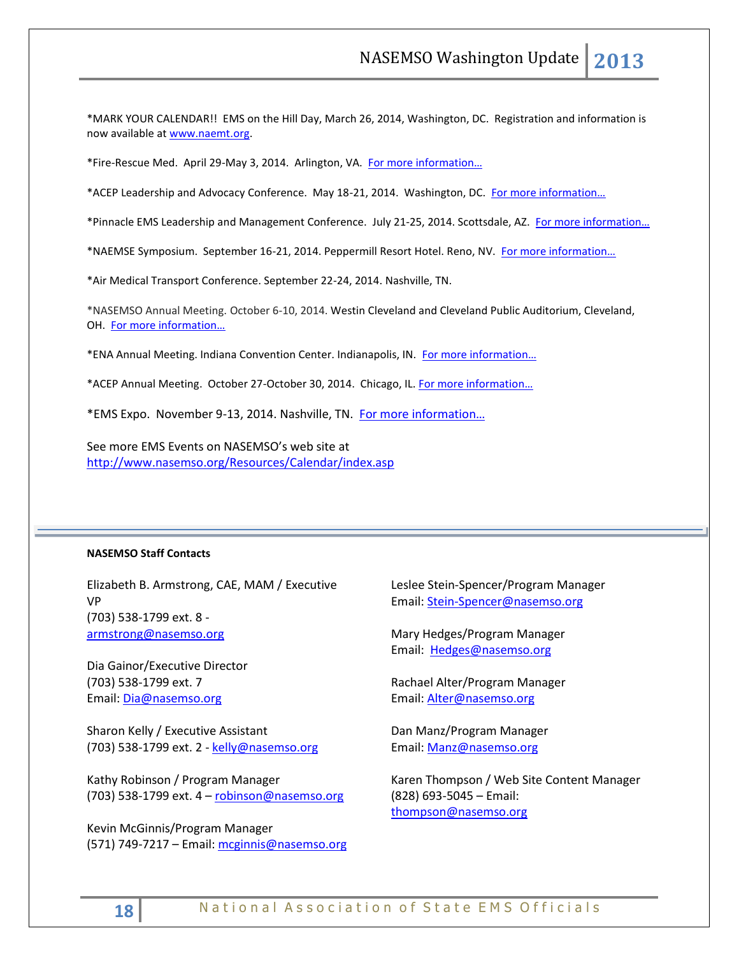\*MARK YOUR CALENDAR!! EMS on the Hill Day, March 26, 2014, Washington, DC. Registration and information is now available a[t www.naemt.org.](http://www.naemt.org/)

\*Fire-Rescue Med. April 29-May 3, 2014. Arlington, VA. For more information...

\*ACEP Leadership and Advocacy Conference. May 18-21, 2014. Washington, DC. [For more information…](http://www.acep.org/lac/)

\*Pinnacle EMS Leadership and Management Conference. July 21-25, 2014. Scottsdale, AZ. [For more information…](http://pinnacle-ems.com/)

\*NAEMSE Symposium. September 16-21, 2014. Peppermill Resort Hotel. Reno, NV. [For more information…](http://www.naemse.org/symposium/)

\*Air Medical Transport Conference. September 22-24, 2014. Nashville, TN.

\*NASEMSO Annual Meeting. October 6-10, 2014. Westin Cleveland and Cleveland Public Auditorium, Cleveland, OH. [For more information…](http://www.nasemso.org/Meetings/Annual/AnnualMeeting2014.asp)

\*ENA Annual Meeting. Indiana Convention Center. Indianapolis, IN. [For more information…](http://www.ena.org/education/conferences/Pages/default.aspx)

\*ACEP Annual Meeting. October 27-October 30, 2014. Chicago, IL. [For more information…](http://www.acep.org/)

\*EMS Expo. November 9-13, 2014. Nashville, TN. [For more information…](http://emsworldexpo.com/)

See more EMS Events on NASEMSO's web site at <http://www.nasemso.org/Resources/Calendar/index.asp>

#### **NASEMSO Staff Contacts**

Elizabeth B. Armstrong, CAE, MAM / Executive VP (703) 538-1799 ext. 8 [armstrong@nasemso.org](mailto:armstrong@nasemso.org)

Dia Gainor/Executive Director (703) 538-1799 ext. 7 Email: [Dia@nasemso.org](mailto:Dia@nasemso.org)

Sharon Kelly / Executive Assistant (703) 538-1799 ext. 2 - [kelly@nasemso.org](mailto:kelly@nasemso.org)

Kathy Robinson / Program Manager (703) 538-1799 ext. 4 – [robinson@nasemso.org](mailto:robinson@nasemso.org)

Kevin McGinnis/Program Manager (571) 749-7217 – Email[: mcginnis@nasemso.org](mailto:mcginnis@nasemso.org) Leslee Stein-Spencer/Program Manager Email: [Stein-Spencer@nasemso.org](mailto:Stein-Spencer@nasemso.org)

Mary Hedges/Program Manager Email: [Hedges@nasemso.org](mailto:Hedges@nasemso.org)

Rachael Alter/Program Manager Email: [Alter@nasemso.org](mailto:Alter@nasemso.org) 

Dan Manz/Program Manager Email: [Manz@nasemso.org](mailto:Manz@nasemso.org)

Karen Thompson / Web Site Content Manager (828) 693-5045 – Email: [thompson@nasemso.org](mailto:thompson@nasemso.org)